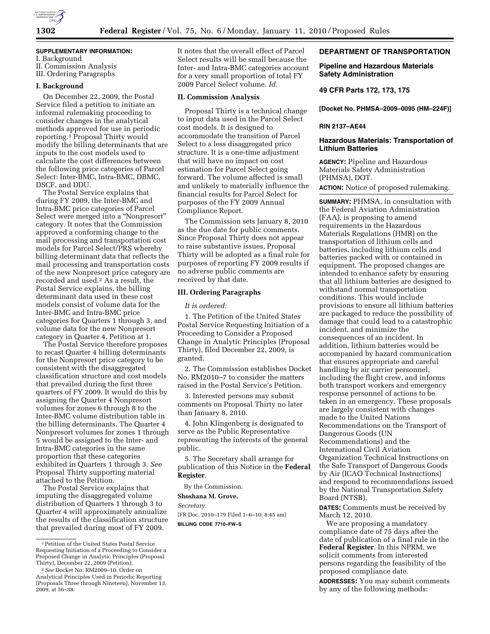

# **SUPPLEMENTARY INFORMATION:**

I. Background II. Commission Analysis III. Ordering Paragraphs

### **I. Background**

On December 22, 2009, the Postal Service filed a petition to initiate an informal rulemaking proceeding to consider changes in the analytical methods approved for use in periodic reporting.1 Proposal Thirty would modify the billing determinants that are inputs to the cost models used to calculate the cost differences between the following price categories of Parcel Select: Inter-BMC, Intra-BMC, DBMC, DSCF, and DDU.

The Postal Service explains that during FY 2009, the Inter-BMC and Intra-BMC price categories of Parcel Select were merged into a ''Nonpresort'' category. It notes that the Commission approved a conforming change to the mail processing and transportation cost models for Parcel Select/PRS whereby billing determinant data that reflects the mail processing and transportation costs of the new Nonpresort price category are recorded and used.2 As a result, the Postal Service explains, the billing determinant data used in these cost models consist of volume data for the Inter-BMC and Intra-BMC price categories for Quarters 1 through 3, and volume data for the new Nonpresort category in Quarter 4. Petition at 1.

The Postal Service therefore proposes to recast Quarter 4 billing determinants for the Nonpresort price category to be consistent with the disaggregated classification structure and cost models that prevailed during the first three quarters of FY 2009. It would do this by assigning the Quarter 4 Nonpresort volumes for zones 6 through 8 to the Inter-BMC volume distribution table in the billing determinants. The Quarter 4 Nonpresort volumes for zones 1 through 5 would be assigned to the Inter- and Intra-BMC categories in the same proportion that these categories exhibited in Quarters 1 through 3. *See*  Proposal Thirty supporting material attached to the Petition.

The Postal Service explains that imputing the disaggregated volume distribution of Quarters 1 through 3 to Quarter 4 will approximately annualize the results of the classification structure that prevailed during most of FY 2009.

It notes that the overall effect of Parcel Select results will be small because the Inter- and Intra-BMC categories account for a very small proportion of total FY 2009 Parcel Select volume. *Id.* 

## **II. Commission Analysis**

Proposal Thirty is a technical change to input data used in the Parcel Select cost models. It is designed to accommodate the transition of Parcel Select to a less disaggregated price structure. It is a one-time adjustment that will have no impact on cost estimation for Parcel Select going forward. The volume affected is small and unlikely to materially influence the financial results for Parcel Select for purposes of the FY 2009 Annual Compliance Report.

The Commission sets January 8, 2010 as the due date for public comments. Since Proposal Thirty does not appear to raise substantive issues, Proposal Thirty will be adopted as a final rule for purposes of reporting FY 2009 results if no adverse public comments are received by that date.

### **III. Ordering Paragraphs**

*It is ordered:* 

1. The Petition of the United States Postal Service Requesting Initiation of a Proceeding to Consider a Proposed Change in Analytic Principles (Proposal Thirty), filed December 22, 2009, is granted.

2. The Commission establishes Docket No. RM2010–7 to consider the matters raised in the Postal Service's Petition.

3. Interested persons may submit comments on Proposal Thirty no later than January 8, 2010.

4. John Klingenberg is designated to serve as the Public Representative representing the interests of the general public.

5. The Secretary shall arrange for publication of this Notice in the **Federal Register**.

By the Commission.

# **Shoshana M. Grove,**

*Secretary.* 

[FR Doc. 2010–179 Filed 1–6–10; 8:45 am] **BILLING CODE 7710–FW–S** 

## **DEPARTMENT OF TRANSPORTATION**

# **Pipeline and Hazardous Materials Safety Administration**

**49 CFR Parts 172, 173, 175** 

**[Docket No. PHMSA–2009–0095 (HM–224F)]** 

### **RIN 2137–AE44**

# **Hazardous Materials: Transportation of Lithium Batteries**

**AGENCY:** Pipeline and Hazardous Materials Safety Administration (PHMSA), DOT. **ACTION:** Notice of proposed rulemaking.

**SUMMARY:** PHMSA, in consultation with the Federal Aviation Administration (FAA), is proposing to amend requirements in the Hazardous Materials Regulations (HMR) on the transportation of lithium cells and batteries, including lithium cells and batteries packed with or contained in equipment. The proposed changes are intended to enhance safety by ensuring that all lithium batteries are designed to withstand normal transportation conditions. This would include provisions to ensure all lithium batteries are packaged to reduce the possibility of damage that could lead to a catastrophic incident, and minimize the consequences of an incident. In addition, lithium batteries would be accompanied by hazard communication that ensures appropriate and careful handling by air carrier personnel, including the flight crew, and informs both transport workers and emergency response personnel of actions to be taken in an emergency. These proposals are largely consistent with changes made to the United Nations Recommendations on the Transport of Dangerous Goods (UN Recommendations) and the International Civil Aviation Organization Technical Instructions on the Safe Transport of Dangerous Goods by Air (ICAO Technical Instructions) and respond to recommendations issued by the National Transportation Safety Board (NTSB).

**DATES:** Comments must be received by March 12, 2010.

We are proposing a mandatory compliance date of 75 days after the date of publication of a final rule in the **Federal Register**. In this NPRM, we solicit comments from interested persons regarding the feasibility of the proposed compliance date.

**ADDRESSES:** You may submit comments by any of the following methods:

<sup>1</sup>Petition of the United States Postal Service Requesting Initiation of a Proceeding to Consider a Proposed Change in Analytic Principles (Proposal Thirty), December 22, 2009 (Petition).

<sup>2</sup>*See* Docket No. RM2009–10, Order on Analytical Principles Used in Periodic Reporting (Proposals Three through Nineteen), November 13, 2009, at 36–38.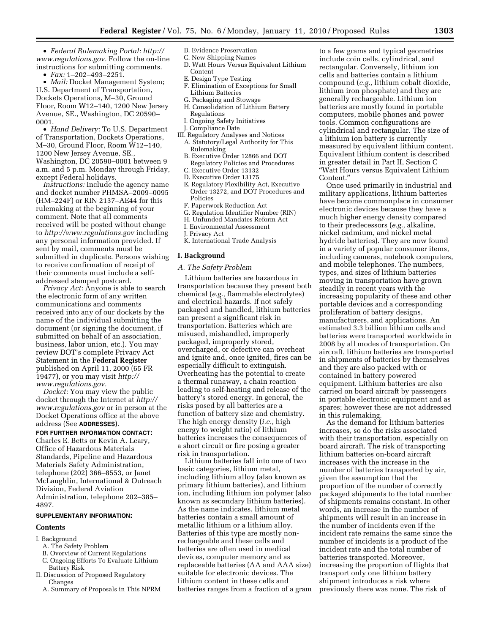• *Federal Rulemaking Portal: http:// www.regulations.gov.* Follow the on-line instructions for submitting comments.

• *Fax:* 1–202–493–2251.

• *Mail:* Docket Management System; U.S. Department of Transportation, Dockets Operations, M–30, Ground Floor, Room W12–140, 1200 New Jersey Avenue, SE., Washington, DC 20590– 0001.

• *Hand Delivery:* To U.S. Department of Transportation, Dockets Operations, M–30, Ground Floor, Room W12–140, 1200 New Jersey Avenue, SE., Washington, DC 20590–0001 between 9 a.m. and 5 p.m. Monday through Friday, except Federal holidays.

*Instructions:* Include the agency name and docket number PHMSA–2009–0095 (HM–224F) or RIN 2137–AE44 for this rulemaking at the beginning of your comment. Note that all comments received will be posted without change to *http://www.regulations.gov* including any personal information provided. If sent by mail, comments must be submitted in duplicate. Persons wishing to receive confirmation of receipt of their comments must include a selfaddressed stamped postcard.

*Privacy Act:* Anyone is able to search the electronic form of any written communications and comments received into any of our dockets by the name of the individual submitting the document (or signing the document, if submitted on behalf of an association, business, labor union, etc.). You may review DOT's complete Privacy Act Statement in the **Federal Register**  published on April 11, 2000 (65 FR 19477), or you may visit *http:// www.regulations.gov.* 

*Docket:* You may view the public docket through the Internet at *http:// www.regulations.gov* or in person at the Docket Operations office at the above address (See **ADDRESSES**).

#### **FOR FURTHER INFORMATION CONTACT:**

Charles E. Betts or Kevin A. Leary, Office of Hazardous Materials Standards, Pipeline and Hazardous Materials Safety Administration, telephone (202) 366–8553, or Janet McLaughlin, International & Outreach Division, Federal Aviation Administration, telephone 202–385– 4897.

#### **SUPPLEMENTARY INFORMATION:**

#### **Contents**

- I. Background
- A. The Safety Problem
- B. Overview of Current Regulations
- C. Ongoing Efforts To Evaluate Lithium Battery Risk
- II. Discussion of Proposed Regulatory Changes
	- A. Summary of Proposals in This NPRM
- B. Evidence Preservation
- C. New Shipping Names
- D. Watt Hours Versus Equivalent Lithium Content
- E. Design Type Testing
- F. Elimination of Exceptions for Small Lithium Batteries
- G. Packaging and Stowage
- H. Consolidation of Lithium Battery Regulations
- I. Ongoing Safety Initiatives
- J. Compliance Date
- III. Regulatory Analyses and Notices A. Statutory/Legal Authority for This Rulemaking
	- B. Executive Order 12866 and DOT Regulatory Policies and Procedures
	- C. Executive Order 13132
- D. Executive Order 13175
- E. Regulatory Flexibility Act, Executive Order 13272, and DOT Procedures and Policies
- F. Paperwork Reduction Act
- G. Regulation Identifier Number (RIN)
- H. Unfunded Mandates Reform Act
- I. Environmental Assessment
- J. Privacy Act
- K. International Trade Analysis

# **I. Background**

### *A. The Safety Problem*

Lithium batteries are hazardous in transportation because they present both chemical (*e.g.,* flammable electrolytes) and electrical hazards. If not safely packaged and handled, lithium batteries can present a significant risk in transportation. Batteries which are misused, mishandled, improperly packaged, improperly stored, overcharged, or defective can overheat and ignite and, once ignited, fires can be especially difficult to extinguish. Overheating has the potential to create a thermal runaway, a chain reaction leading to self-heating and release of the battery's stored energy. In general, the risks posed by all batteries are a function of battery size and chemistry. The high energy density (*i.e.*, high energy to weight ratio) of lithium batteries increases the consequences of a short circuit or fire posing a greater risk in transportation.

Lithium batteries fall into one of two basic categories, lithium metal, including lithium alloy (also known as primary lithium batteries), and lithium ion, including lithium ion polymer (also known as secondary lithium batteries). As the name indicates, lithium metal batteries contain a small amount of metallic lithium or a lithium alloy. Batteries of this type are mostly nonrechargeable and these cells and batteries are often used in medical devices, computer memory and as replaceable batteries (AA and AAA size) suitable for electronic devices. The lithium content in these cells and batteries ranges from a fraction of a gram

to a few grams and typical geometries include coin cells, cylindrical, and rectangular. Conversely, lithium ion cells and batteries contain a lithium compound (*e.g.,* lithium cobalt dioxide, lithium iron phosphate) and they are generally rechargeable. Lithium ion batteries are mostly found in portable computers, mobile phones and power tools. Common configurations are cylindrical and rectangular. The size of a lithium ion battery is currently measured by equivalent lithium content. Equivalent lithium content is described in greater detail in Part II, Section C ''Watt Hours versus Equivalent Lithium Content.''

Once used primarily in industrial and military applications, lithium batteries have become commonplace in consumer electronic devices because they have a much higher energy density compared to their predecessors (*e.g.,* alkaline, nickel cadmium, and nickel metal hydride batteries). They are now found in a variety of popular consumer items, including cameras, notebook computers, and mobile telephones. The numbers, types, and sizes of lithium batteries moving in transportation have grown steadily in recent years with the increasing popularity of these and other portable devices and a corresponding proliferation of battery designs, manufacturers, and applications. An estimated 3.3 billion lithium cells and batteries were transported worldwide in 2008 by all modes of transportation. On aircraft, lithium batteries are transported in shipments of batteries by themselves and they are also packed with or contained in battery powered equipment. Lithium batteries are also carried on board aircraft by passengers in portable electronic equipment and as spares; however these are not addressed in this rulemaking.

As the demand for lithium batteries increases, so do the risks associated with their transportation, especially on board aircraft. The risk of transporting lithium batteries on-board aircraft increases with the increase in the number of batteries transported by air, given the assumption that the proportion of the number of correctly packaged shipments to the total number of shipments remains constant. In other words, an increase in the number of shipments will result in an increase in the number of incidents even if the incident rate remains the same since the number of incidents is a product of the incident rate and the total number of batteries transported. Moreover, increasing the proportion of flights that transport only one lithium battery shipment introduces a risk where previously there was none. The risk of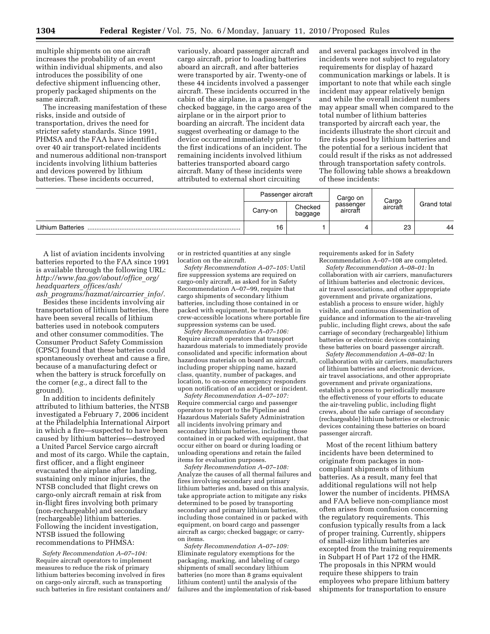multiple shipments on one aircraft increases the probability of an event within individual shipments, and also introduces the possibility of one defective shipment influencing other, properly packaged shipments on the same aircraft.

The increasing manifestation of these risks, inside and outside of transportation, drives the need for stricter safety standards. Since 1991, PHMSA and the FAA have identified over 40 air transport-related incidents and numerous additional non-transport incidents involving lithium batteries and devices powered by lithium batteries. These incidents occurred,

variously, aboard passenger aircraft and cargo aircraft, prior to loading batteries aboard an aircraft, and after batteries were transported by air. Twenty-one of these 44 incidents involved a passenger aircraft. These incidents occurred in the cabin of the airplane, in a passenger's checked baggage, in the cargo area of the airplane or in the airport prior to boarding an aircraft. The incident data suggest overheating or damage to the device occurred immediately prior to the first indications of an incident. The remaining incidents involved lithium batteries transported aboard cargo aircraft. Many of these incidents were attributed to external short circuiting

and several packages involved in the incidents were not subject to regulatory requirements for display of hazard communication markings or labels. It is important to note that while each single incident may appear relatively benign and while the overall incident numbers may appear small when compared to the total number of lithium batteries transported by aircraft each year, the incidents illustrate the short circuit and fire risks posed by lithium batteries and the potential for a serious incident that could result if the risks as not addressed through transportation safety controls. The following table shows a breakdown of these incidents:

|                          |          | Passenger aircraft | Cargo on              |                   |             |
|--------------------------|----------|--------------------|-----------------------|-------------------|-------------|
|                          | Carry-on | Checked<br>baggage | passenger<br>aircraft | Cargo<br>aircraft | Grand total |
| <b>Lithium Batteries</b> | 16       |                    |                       | 23                | 44          |

A list of aviation incidents involving batteries reported to the FAA since 1991 is available through the following URL: *http://www.faa.gov/about/office*\_*org/ headquarters*\_*offices/ash/ ash*\_*programs/hazmat/aircarrier*\_*info/.* 

Besides these incidents involving air transportation of lithium batteries, there have been several recalls of lithium batteries used in notebook computers and other consumer commodities. The Consumer Product Safety Commission (CPSC) found that these batteries could spontaneously overheat and cause a fire, because of a manufacturing defect or when the battery is struck forcefully on the corner (*e.g.,* a direct fall to the ground).

In addition to incidents definitely attributed to lithium batteries, the NTSB investigated a February 7, 2006 incident at the Philadelphia International Airport in which a fire—suspected to have been caused by lithium batteries—destroyed a United Parcel Service cargo aircraft and most of its cargo. While the captain, first officer, and a flight engineer evacuated the airplane after landing, sustaining only minor injuries, the NTSB concluded that flight crews on cargo-only aircraft remain at risk from in-flight fires involving both primary (non-rechargeable) and secondary (rechargeable) lithium batteries. Following the incident investigation, NTSB issued the following recommendations to PHMSA:

*Safety Recommendation A–07–104:*  Require aircraft operators to implement measures to reduce the risk of primary lithium batteries becoming involved in fires on cargo-only aircraft, such as transporting such batteries in fire resistant containers and/

or in restricted quantities at any single location on the aircraft.

*Safety Recommendation A–07–105:* Until fire suppression systems are required on cargo-only aircraft, as asked for in Safety Recommendation A–07–99, require that cargo shipments of secondary lithium batteries, including those contained in or packed with equipment, be transported in crew-accessible locations where portable fire suppression systems can be used.

*Safety Recommendation A–07–106:*  Require aircraft operators that transport hazardous materials to immediately provide consolidated and specific information about hazardous materials on board an aircraft, including proper shipping name, hazard class, quantity, number of packages, and location, to on-scene emergency responders upon notification of an accident or incident.

*Safety Recommendation A–07–107:*  Require commercial cargo and passenger operators to report to the Pipeline and Hazardous Materials Safety Administration all incidents involving primary and secondary lithium batteries, including those contained in or packed with equipment, that occur either on board or during loading or unloading operations and retain the failed items for evaluation purposes.

*Safety Recommendation A–07–108:*  Analyze the causes of all thermal failures and fires involving secondary and primary lithium batteries and, based on this analysis, take appropriate action to mitigate any risks determined to be posed by transporting secondary and primary lithium batteries, including those contained in or packed with equipment, on board cargo and passenger aircraft as cargo; checked baggage; or carryon items.

*Safety Recommendation A–07–109:*  Eliminate regulatory exemptions for the packaging, marking, and labeling of cargo shipments of small secondary lithium batteries (no more than 8 grams equivalent lithium content) until the analysis of the failures and the implementation of risk-based requirements asked for in Safety Recommendation A–07–108 are completed.

*Safety Recommendation A–08–01:* In collaboration with air carriers, manufacturers of lithium batteries and electronic devices, air travel associations, and other appropriate government and private organizations, establish a process to ensure wider, highly visible, and continuous dissemination of guidance and information to the air-traveling public, including flight crews, about the safe carriage of secondary (rechargeable) lithium batteries or electronic devices containing these batteries on board passenger aircraft.

*Safety Recommendation A–08–02:* In collaboration with air carriers, manufacturers of lithium batteries and electronic devices, air travel associations, and other appropriate government and private organizations, establish a process to periodically measure the effectiveness of your efforts to educate the air-traveling public, including flight crews, about the safe carriage of secondary (rechargeable) lithium batteries or electronic devices containing these batteries on board passenger aircraft.

Most of the recent lithium battery incidents have been determined to originate from packages in noncompliant shipments of lithium batteries. As a result, many feel that additional regulations will not help lower the number of incidents. PHMSA and FAA believe non-compliance most often arises from confusion concerning the regulatory requirements. This confusion typically results from a lack of proper training. Currently, shippers of small-size lithium batteries are excepted from the training requirements in Subpart H of Part 172 of the HMR. The proposals in this NPRM would require these shippers to train employees who prepare lithium battery shipments for transportation to ensure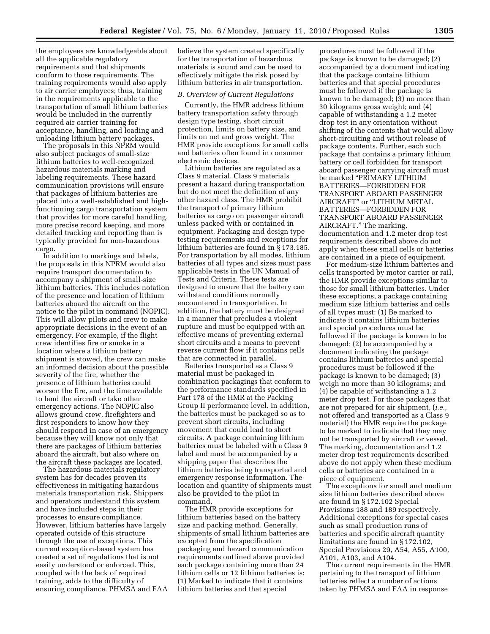the employees are knowledgeable about all the applicable regulatory requirements and that shipments conform to those requirements. The training requirements would also apply to air carrier employees; thus, training in the requirements applicable to the transportation of small lithium batteries would be included in the currently required air carrier training for acceptance, handling, and loading and unloading lithium battery packages.

The proposals in this NPRM would also subject packages of small-size lithium batteries to well-recognized hazardous materials marking and labeling requirements. These hazard communication provisions will ensure that packages of lithium batteries are placed into a well-established and highfunctioning cargo transportation system that provides for more careful handling, more precise record keeping, and more detailed tracking and reporting than is typically provided for non-hazardous cargo.

In addition to markings and labels, the proposals in this NPRM would also require transport documentation to accompany a shipment of small-size lithium batteries. This includes notation of the presence and location of lithium batteries aboard the aircraft on the notice to the pilot in command (NOPIC). This will allow pilots and crew to make appropriate decisions in the event of an emergency. For example, if the flight crew identifies fire or smoke in a location where a lithium battery shipment is stowed, the crew can make an informed decision about the possible severity of the fire, whether the presence of lithium batteries could worsen the fire, and the time available to land the aircraft or take other emergency actions. The NOPIC also allows ground crew, firefighters and first responders to know how they should respond in case of an emergency because they will know not only that there are packages of lithium batteries aboard the aircraft, but also where on the aircraft these packages are located.

The hazardous materials regulatory system has for decades proven its effectiveness in mitigating hazardous materials transportation risk. Shippers and operators understand this system and have included steps in their processes to ensure compliance. However, lithium batteries have largely operated outside of this structure through the use of exceptions. This current exception-based system has created a set of regulations that is not easily understood or enforced. This, coupled with the lack of required training, adds to the difficulty of ensuring compliance. PHMSA and FAA believe the system created specifically for the transportation of hazardous materials is sound and can be used to effectively mitigate the risk posed by lithium batteries in air transportation.

### *B. Overview of Current Regulations*

Currently, the HMR address lithium battery transportation safety through design type testing, short circuit protection, limits on battery size, and limits on net and gross weight. The HMR provide exceptions for small cells and batteries often found in consumer electronic devices.

Lithium batteries are regulated as a Class 9 material. Class 9 materials present a hazard during transportation but do not meet the definition of any other hazard class. The HMR prohibit the transport of primary lithium batteries as cargo on passenger aircraft unless packed with or contained in equipment. Packaging and design type testing requirements and exceptions for lithium batteries are found in § 173.185. For transportation by all modes, lithium batteries of all types and sizes must pass applicable tests in the UN Manual of Tests and Criteria. These tests are designed to ensure that the battery can withstand conditions normally encountered in transportation. In addition, the battery must be designed in a manner that precludes a violent rupture and must be equipped with an effective means of preventing external short circuits and a means to prevent reverse current flow if it contains cells that are connected in parallel.

Batteries transported as a Class 9 material must be packaged in combination packagings that conform to the performance standards specified in Part 178 of the HMR at the Packing Group II performance level. In addition, the batteries must be packaged so as to prevent short circuits, including movement that could lead to short circuits. A package containing lithium batteries must be labeled with a Class 9 label and must be accompanied by a shipping paper that describes the lithium batteries being transported and emergency response information. The location and quantity of shipments must also be provided to the pilot in command.

The HMR provide exceptions for lithium batteries based on the battery size and packing method. Generally, shipments of small lithium batteries are excepted from the specification packaging and hazard communication requirements outlined above provided each package containing more than 24 lithium cells or 12 lithium batteries is: (1) Marked to indicate that it contains lithium batteries and that special

procedures must be followed if the package is known to be damaged; (2) accompanied by a document indicating that the package contains lithium batteries and that special procedures must be followed if the package is known to be damaged; (3) no more than 30 kilograms gross weight; and (4) capable of withstanding a 1.2 meter drop test in any orientation without shifting of the contents that would allow short-circuiting and without release of package contents. Further, each such package that contains a primary lithium battery or cell forbidden for transport aboard passenger carrying aircraft must be marked ''PRIMARY LITHIUM BATTERIES—FORBIDDEN FOR TRANSPORT ABOARD PASSENGER AIRCRAFT'' or ''LITHIUM METAL BATTERIES—FORBIDDEN FOR TRANSPORT ABOARD PASSENGER AIRCRAFT.'' The marking, documentation and 1.2 meter drop test requirements described above do not apply when these small cells or batteries are contained in a piece of equipment.

For medium-size lithium batteries and cells transported by motor carrier or rail, the HMR provide exceptions similar to those for small lithium batteries. Under these exceptions, a package containing medium size lithium batteries and cells of all types must: (1) Be marked to indicate it contains lithium batteries and special procedures must be followed if the package is known to be damaged; (2) be accompanied by a document indicating the package contains lithium batteries and special procedures must be followed if the package is known to be damaged; (3) weigh no more than 30 kilograms; and (4) be capable of withstanding a 1.2 meter drop test. For those packages that are not prepared for air shipment, (*i.e.,*  not offered and transported as a Class 9 material) the HMR require the package to be marked to indicate that they may not be transported by aircraft or vessel. The marking, documentation and 1.2 meter drop test requirements described above do not apply when these medium cells or batteries are contained in a piece of equipment.

The exceptions for small and medium size lithium batteries described above are found in § 172.102 Special Provisions 188 and 189 respectively. Additional exceptions for special cases such as small production runs of batteries and specific aircraft quantity limitations are found in § 172.102, Special Provisions 29, A54, A55, A100, A101, A103, and A104.

The current requirements in the HMR pertaining to the transport of lithium batteries reflect a number of actions taken by PHMSA and FAA in response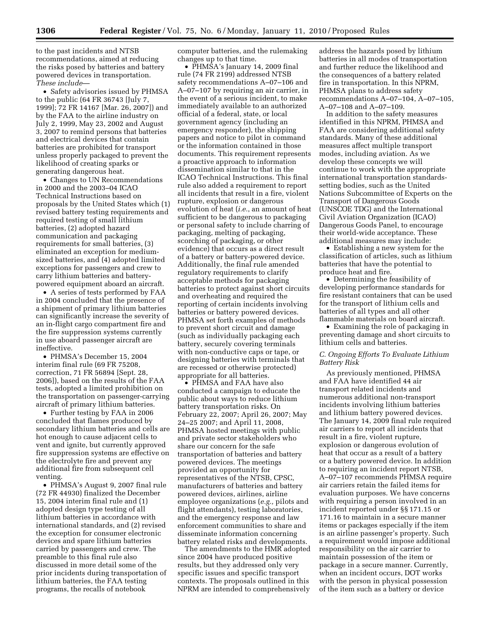to the past incidents and NTSB recommendations, aimed at reducing the risks posed by batteries and battery powered devices in transportation. *These include*—

• Safety advisories issued by PHMSA to the public (64 FR 36743 [July 7, 1999]; 72 FR 14167 [Mar. 26, 2007]) and by the FAA to the airline industry on July 2, 1999, May 23, 2002 and August 3, 2007 to remind persons that batteries and electrical devices that contain batteries are prohibited for transport unless properly packaged to prevent the likelihood of creating sparks or generating dangerous heat.

• Changes to UN Recommendations in 2000 and the 2003–04 ICAO Technical Instructions based on proposals by the United States which (1) revised battery testing requirements and required testing of small lithium batteries, (2) adopted hazard communication and packaging requirements for small batteries, (3) eliminated an exception for mediumsized batteries, and (4) adopted limited exceptions for passengers and crew to carry lithium batteries and batterypowered equipment aboard an aircraft.

• A series of tests performed by FAA in 2004 concluded that the presence of a shipment of primary lithium batteries can significantly increase the severity of an in-flight cargo compartment fire and the fire suppression systems currently in use aboard passenger aircraft are ineffective.

• PHMSA's December 15, 2004 interim final rule (69 FR 75208, correction, 71 FR 56894 [Sept. 28, 2006]), based on the results of the FAA tests, adopted a limited prohibition on the transportation on passenger-carrying aircraft of primary lithium batteries.

• Further testing by FAA in 2006 concluded that flames produced by secondary lithium batteries and cells are hot enough to cause adjacent cells to vent and ignite, but currently approved fire suppression systems are effective on the electrolyte fire and prevent any additional fire from subsequent cell venting.

• PHMSA's August 9, 2007 final rule (72 FR 44930) finalized the December 15, 2004 interim final rule and (1) adopted design type testing of all lithium batteries in accordance with international standards, and (2) revised the exception for consumer electronic devices and spare lithium batteries carried by passengers and crew. The preamble to this final rule also discussed in more detail some of the prior incidents during transportation of lithium batteries, the FAA testing programs, the recalls of notebook

computer batteries, and the rulemaking changes up to that time.

• PHMSA's January 14, 2009 final rule (74 FR 2199) addressed NTSB safety recommendations A–07–106 and A–07–107 by requiring an air carrier, in the event of a serious incident, to make immediately available to an authorized official of a federal, state, or local government agency (including an emergency responder), the shipping papers and notice to pilot in command or the information contained in those documents. This requirement represents a proactive approach to information dissemination similar to that in the ICAO Technical Instructions. This final rule also added a requirement to report all incidents that result in a fire, violent rupture, explosion or dangerous evolution of heat (*i.e.*, an amount of heat sufficient to be dangerous to packaging or personal safety to include charring of packaging, melting of packaging, scorching of packaging, or other evidence) that occurs as a direct result of a battery or battery-powered device. Additionally, the final rule amended regulatory requirements to clarify acceptable methods for packaging batteries to protect against short circuits and overheating and required the reporting of certain incidents involving batteries or battery powered devices. PHMSA set forth examples of methods to prevent short circuit and damage (such as individually packaging each battery, securely covering terminals with non-conductive caps or tape, or designing batteries with terminals that are recessed or otherwise protected) appropriate for all batteries.

• PHMSA and FAA have also conducted a campaign to educate the public about ways to reduce lithium battery transportation risks. On February 22, 2007; April 26, 2007; May 24–25 2007; and April 11, 2008, PHMSA hosted meetings with public and private sector stakeholders who share our concern for the safe transportation of batteries and battery powered devices. The meetings provided an opportunity for representatives of the NTSB, CPSC, manufacturers of batteries and battery powered devices, airlines, airline employee organizations (*e.g.,* pilots and flight attendants), testing laboratories, and the emergency response and law enforcement communities to share and disseminate information concerning battery related risks and developments.

The amendments to the HMR adopted since 2004 have produced positive results, but they addressed only very specific issues and specific transport contexts. The proposals outlined in this NPRM are intended to comprehensively

address the hazards posed by lithium batteries in all modes of transportation and further reduce the likelihood and the consequences of a battery related fire in transportation. In this NPRM, PHMSA plans to address safety recommendations A–07–104, A–07–105, A–07–108 and A–07–109.

In addition to the safety measures identified in this NPRM, PHMSA and FAA are considering additional safety standards. Many of these additional measures affect multiple transport modes, including aviation. As we develop these concepts we will continue to work with the appropriate international transportation standardssetting bodies, such as the United Nations Subcommittee of Experts on the Transport of Dangerous Goods (UNSCOE TDG) and the International Civil Aviation Organization (ICAO) Dangerous Goods Panel, to encourage their world-wide acceptance. These additional measures may include:

• Establishing a new system for the classification of articles, such as lithium batteries that have the potential to produce heat and fire.

• Determining the feasibility of developing performance standards for fire resistant containers that can be used for the transport of lithium cells and batteries of all types and all other flammable materials on board aircraft.

• Examining the role of packaging in preventing damage and short circuits to lithium cells and batteries.

## *C. Ongoing Efforts To Evaluate Lithium Battery Risk*

As previously mentioned, PHMSA and FAA have identified 44 air transport related incidents and numerous additional non-transport incidents involving lithium batteries and lithium battery powered devices. The January 14, 2009 final rule required air carriers to report all incidents that result in a fire, violent rupture, explosion or dangerous evolution of heat that occur as a result of a battery or a battery powered device. In addition to requiring an incident report NTSB, A–07–107 recommends PHMSA require air carriers retain the failed items for evaluation purposes. We have concerns with requiring a person involved in an incident reported under §§ 171.15 or 171.16 to maintain in a secure manner items or packages especially if the item is an airline passenger's property. Such a requirement would impose additional responsibility on the air carrier to maintain possession of the item or package in a secure manner. Currently, when an incident occurs, DOT works with the person in physical possession of the item such as a battery or device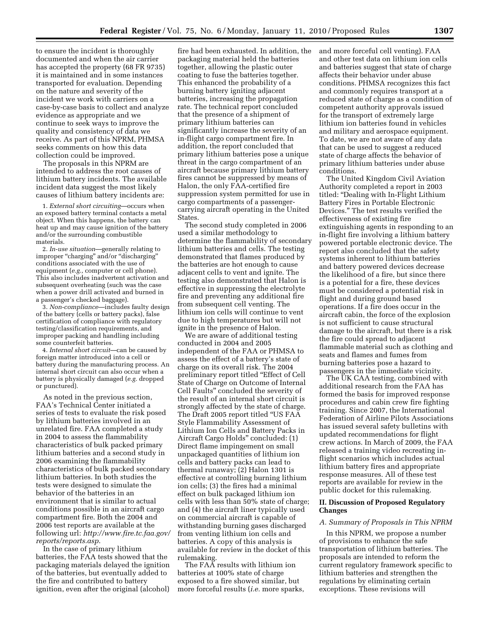to ensure the incident is thoroughly documented and when the air carrier has accepted the property (68 FR 9735) it is maintained and in some instances transported for evaluation. Depending on the nature and severity of the incident we work with carriers on a case-by-case basis to collect and analyze evidence as appropriate and we continue to seek ways to improve the quality and consistency of data we receive. As part of this NPRM, PHMSA seeks comments on how this data collection could be improved.

The proposals in this NPRM are intended to address the root causes of lithium battery incidents. The available incident data suggest the most likely causes of lithium battery incidents are:

1. *External short circuiting*—occurs when an exposed battery terminal contacts a metal object. When this happens, the battery can heat up and may cause ignition of the battery and/or the surrounding combustible materials.

2. *In-use situation*—generally relating to improper "charging" and/or "discharging" conditions associated with the use of equipment (*e.g.,* computer or cell phone). This also includes inadvertent activation and subsequent overheating (such was the case when a power drill activated and burned in a passenger's checked baggage).

3. *Non-compliance*—includes faulty design of the battery (cells or battery packs), false certification of compliance with regulatory testing/classification requirements, and improper packing and handling including some counterfeit batteries.

4. *Internal short circuit*—can be caused by foreign matter introduced into a cell or battery during the manufacturing process. An internal short circuit can also occur when a battery is physically damaged (*e.g.* dropped or punctured).

As noted in the previous section, FAA's Technical Center initiated a series of tests to evaluate the risk posed by lithium batteries involved in an unrelated fire. FAA completed a study in 2004 to assess the flammability characteristics of bulk packed primary lithium batteries and a second study in 2006 examining the flammability characteristics of bulk packed secondary lithium batteries. In both studies the tests were designed to simulate the behavior of the batteries in an environment that is similar to actual conditions possible in an aircraft cargo compartment fire. Both the 2004 and 2006 test reports are available at the following url: *http://www.fire.tc.faa.gov/ reports/reports.asp*.

In the case of primary lithium batteries, the FAA tests showed that the packaging materials delayed the ignition of the batteries, but eventually added to the fire and contributed to battery ignition, even after the original (alcohol)

fire had been exhausted. In addition, the packaging material held the batteries together, allowing the plastic outer coating to fuse the batteries together. This enhanced the probability of a burning battery igniting adjacent batteries, increasing the propagation rate. The technical report concluded that the presence of a shipment of primary lithium batteries can significantly increase the severity of an in-flight cargo compartment fire. In addition, the report concluded that primary lithium batteries pose a unique threat in the cargo compartment of an aircraft because primary lithium battery fires cannot be suppressed by means of Halon, the only FAA-certified fire suppression system permitted for use in cargo compartments of a passengercarrying aircraft operating in the United States.

The second study completed in 2006 used a similar methodology to determine the flammability of secondary lithium batteries and cells. The testing demonstrated that flames produced by the batteries are hot enough to cause adjacent cells to vent and ignite. The testing also demonstrated that Halon is effective in suppressing the electrolyte fire and preventing any additional fire from subsequent cell venting. The lithium ion cells will continue to vent due to high temperatures but will not ignite in the presence of Halon.

We are aware of additional testing conducted in 2004 and 2005 independent of the FAA or PHMSA to assess the effect of a battery's state of charge on its overall risk. The 2004 preliminary report titled ''Effect of Cell State of Charge on Outcome of Internal Cell Faults'' concluded the severity of the result of an internal short circuit is strongly affected by the state of charge. The Draft 2005 report titled ''US FAA Style Flammability Assessment of Lithium Ion Cells and Battery Packs in Aircraft Cargo Holds'' concluded: (1) Direct flame impingement on small unpackaged quantities of lithium ion cells and battery packs can lead to thermal runaway; (2) Halon 1301 is effective at controlling burning lithium ion cells; (3) the fires had a minimal effect on bulk packaged lithium ion cells with less than 50% state of charge; and (4) the aircraft liner typically used on commercial aircraft is capable of withstanding burning gases discharged from venting lithium ion cells and batteries. A copy of this analysis is available for review in the docket of this rulemaking.

The FAA results with lithium ion batteries at 100% state of charge exposed to a fire showed similar, but more forceful results (*i.e.* more sparks, and more forceful cell venting). FAA and other test data on lithium ion cells and batteries suggest that state of charge affects their behavior under abuse conditions. PHMSA recognizes this fact and commonly requires transport at a reduced state of charge as a condition of competent authority approvals issued for the transport of extremely large lithium ion batteries found in vehicles and military and aerospace equipment. To date, we are not aware of any data that can be used to suggest a reduced state of charge affects the behavior of primary lithium batteries under abuse conditions.

The United Kingdom Civil Aviation Authority completed a report in 2003 titled: ''Dealing with In-Flight Lithium Battery Fires in Portable Electronic Devices.'' The test results verified the effectiveness of existing fire extinguishing agents in responding to an in-flight fire involving a lithium battery powered portable electronic device. The report also concluded that the safety systems inherent to lithium batteries and battery powered devices decrease the likelihood of a fire, but since there is a potential for a fire, these devices must be considered a potential risk in flight and during ground based operations. If a fire does occur in the aircraft cabin, the force of the explosion is not sufficient to cause structural damage to the aircraft, but there is a risk the fire could spread to adjacent flammable material such as clothing and seats and flames and fumes from burning batteries pose a hazard to passengers in the immediate vicinity.

The UK CAA testing, combined with additional research from the FAA has formed the basis for improved response procedures and cabin crew fire fighting training. Since 2007, the International Federation of Airline Pilots Associations has issued several safety bulletins with updated recommendations for flight crew actions. In March of 2009, the FAA released a training video recreating inflight scenarios which includes actual lithium battery fires and appropriate response measures. All of these test reports are available for review in the public docket for this rulemaking.

# **II. Discussion of Proposed Regulatory Changes**

### *A. Summary of Proposals in This NPRM*

In this NPRM, we propose a number of provisions to enhance the safe transportation of lithium batteries. The proposals are intended to reform the current regulatory framework specific to lithium batteries and strengthen the regulations by eliminating certain exceptions. These revisions will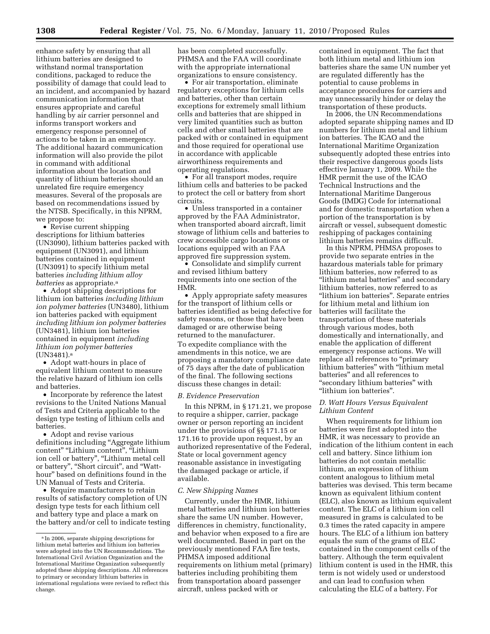enhance safety by ensuring that all lithium batteries are designed to withstand normal transportation conditions, packaged to reduce the possibility of damage that could lead to an incident, and accompanied by hazard communication information that ensures appropriate and careful handling by air carrier personnel and informs transport workers and emergency response personnel of actions to be taken in an emergency. The additional hazard communication information will also provide the pilot in command with additional information about the location and quantity of lithium batteries should an unrelated fire require emergency measures. Several of the proposals are based on recommendations issued by the NTSB. Specifically, in this NPRM, we propose to:

• Revise current shipping descriptions for lithium batteries (UN3090), lithium batteries packed with equipment (UN3091), and lithium batteries contained in equipment (UN3091) to specify lithium metal batteries *including lithium alloy batteries* as appropriate.<sup>a</sup>

• Adopt shipping descriptions for lithium ion batteries *including lithium ion polymer batteries* (UN3480), lithium ion batteries packed with equipment *including lithium ion polymer batteries*  (UN3481), lithium ion batteries contained in equipment *including lithium ion polymer batteries*  (UN3481).a

• Adopt watt-hours in place of equivalent lithium content to measure the relative hazard of lithium ion cells and batteries.

• Incorporate by reference the latest revisions to the United Nations Manual of Tests and Criteria applicable to the design type testing of lithium cells and batteries.

• Adopt and revise various definitions including ''Aggregate lithium content" "Lithium content", "Lithium ion cell or battery", "Lithium metal cell or battery'', ''Short circuit'', and ''Watthour'' based on definitions found in the UN Manual of Tests and Criteria.

• Require manufacturers to retain results of satisfactory completion of UN design type tests for each lithium cell and battery type and place a mark on the battery and/or cell to indicate testing has been completed successfully. PHMSA and the FAA will coordinate with the appropriate international organizations to ensure consistency.

• For air transportation, eliminate regulatory exceptions for lithium cells and batteries, other than certain exceptions for extremely small lithium cells and batteries that are shipped in very limited quantities such as button cells and other small batteries that are packed with or contained in equipment and those required for operational use in accordance with applicable airworthiness requirements and operating regulations.

• For all transport modes, require lithium cells and batteries to be packed to protect the cell or battery from short circuits.

• Unless transported in a container approved by the FAA Administrator, when transported aboard aircraft, limit stowage of lithium cells and batteries to crew accessible cargo locations or locations equipped with an FAA approved fire suppression system.

• Consolidate and simplify current and revised lithium battery requirements into one section of the HMR.

• Apply appropriate safety measures for the transport of lithium cells or batteries identified as being defective for safety reasons, or those that have been damaged or are otherwise being returned to the manufacturer. To expedite compliance with the amendments in this notice, we are proposing a mandatory compliance date of 75 days after the date of publication of the final. The following sections discuss these changes in detail:

### *B. Evidence Preservation*

In this NPRM, in § 171.21, we propose to require a shipper, carrier, package owner or person reporting an incident under the provisions of §§ 171.15 or 171.16 to provide upon request, by an authorized representative of the Federal, State or local government agency reasonable assistance in investigating the damaged package or article, if available.

#### *C. New Shipping Names*

Currently, under the HMR, lithium metal batteries and lithium ion batteries share the same UN number. However, differences in chemistry, functionality, and behavior when exposed to a fire are well documented. Based in part on the previously mentioned FAA fire tests, PHMSA imposed additional requirements on lithium metal (primary) batteries including prohibiting them from transportation aboard passenger aircraft, unless packed with or

contained in equipment. The fact that both lithium metal and lithium ion batteries share the same UN number yet are regulated differently has the potential to cause problems in acceptance procedures for carriers and may unnecessarily hinder or delay the transportation of these products.

In 2006, the UN Recommendations adopted separate shipping names and ID numbers for lithium metal and lithium ion batteries. The ICAO and the International Maritime Organization subsequently adopted these entries into their respective dangerous goods lists effective January 1, 2009. While the HMR permit the use of the ICAO Technical Instructions and the International Maritime Dangerous Goods (IMDG) Code for international and for domestic transportation when a portion of the transportation is by aircraft or vessel, subsequent domestic reshipping of packages containing lithium batteries remains difficult.

In this NPRM, PHMSA proposes to provide two separate entries in the hazardous materials table for primary lithium batteries, now referred to as ''lithium metal batteries'' and secondary lithium batteries, now referred to as "lithium ion batteries". Separate entries for lithium metal and lithium ion batteries will facilitate the transportation of these materials through various modes, both domestically and internationally, and enable the application of different emergency response actions. We will replace all references to ''primary lithium batteries'' with ''lithium metal batteries'' and all references to "secondary lithium batteries" with ''lithium ion batteries''.

## *D. Watt Hours Versus Equivalent Lithium Content*

When requirements for lithium ion batteries were first adopted into the HMR, it was necessary to provide an indication of the lithium content in each cell and battery. Since lithium ion batteries do not contain metallic lithium, an expression of lithium content analogous to lithium metal batteries was devised. This term became known as equivalent lithium content (ELC), also known as lithium equivalent content. The ELC of a lithium ion cell measured in grams is calculated to be 0.3 times the rated capacity in ampere hours. The ELC of a lithium ion battery equals the sum of the grams of ELC contained in the component cells of the battery. Although the term equivalent lithium content is used in the HMR, this term is not widely used or understood and can lead to confusion when calculating the ELC of a battery. For

a In 2006, separate shipping descriptions for lithium metal batteries and lithium ion batteries were adopted into the UN Recommendations. The International Civil Aviation Organization and the International Maritime Organization subsequently adopted these shipping descriptions. All references to primary or secondary lithium batteries in international regulations were revised to reflect this change.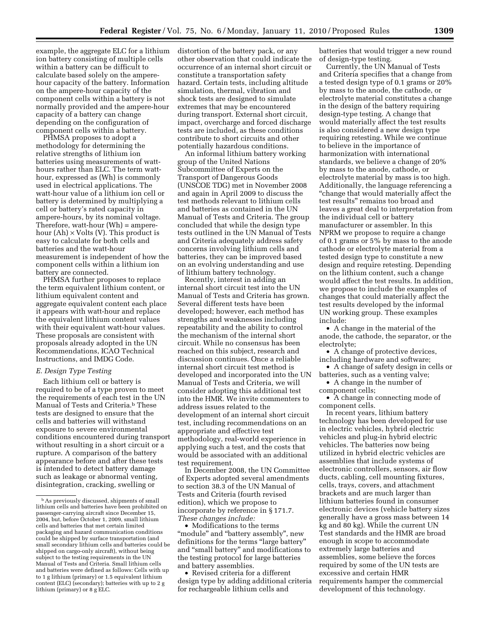example, the aggregate ELC for a lithium ion battery consisting of multiple cells within a battery can be difficult to calculate based solely on the amperehour capacity of the battery. Information on the ampere-hour capacity of the component cells within a battery is not normally provided and the ampere-hour capacity of a battery can change depending on the configuration of component cells within a battery.

PHMSA proposes to adopt a methodology for determining the relative strengths of lithium ion batteries using measurements of watthours rather than ELC. The term watthour, expressed as (Wh) is commonly used in electrical applications. The watt-hour value of a lithium ion cell or battery is determined by multiplying a cell or battery's rated capacity in ampere-hours, by its nominal voltage. Therefore, watt-hour (Wh) = amperehour  $(Ah) \times Volts$  (V). This product is easy to calculate for both cells and batteries and the watt-hour measurement is independent of how the component cells within a lithium ion battery are connected.

PHMSA further proposes to replace the term equivalent lithium content, or lithium equivalent content and aggregate equivalent content each place it appears with watt-hour and replace the equivalent lithium content values with their equivalent watt-hour values. These proposals are consistent with proposals already adopted in the UN Recommendations, ICAO Technical Instructions, and IMDG Code.

#### *E. Design Type Testing*

Each lithium cell or battery is required to be of a type proven to meet the requirements of each test in the UN Manual of Tests and Criteria.<sup>b</sup> These tests are designed to ensure that the cells and batteries will withstand exposure to severe environmental conditions encountered during transport without resulting in a short circuit or a rupture. A comparison of the battery appearance before and after these tests is intended to detect battery damage such as leakage or abnormal venting, disintegration, cracking, swelling or

distortion of the battery pack, or any other observation that could indicate the occurrence of an internal short circuit or constitute a transportation safety hazard. Certain tests, including altitude simulation, thermal, vibration and shock tests are designed to simulate extremes that may be encountered during transport. External short circuit, impact, overcharge and forced discharge tests are included, as these conditions contribute to short circuits and other potentially hazardous conditions.

An informal lithium battery working group of the United Nations Subcommittee of Experts on the Transport of Dangerous Goods (UNSCOE TDG) met in November 2008 and again in April 2009 to discuss the test methods relevant to lithium cells and batteries as contained in the UN Manual of Tests and Criteria. The group concluded that while the design type tests outlined in the UN Manual of Tests and Criteria adequately address safety concerns involving lithium cells and batteries, they can be improved based on an evolving understanding and use of lithium battery technology.

Recently, interest in adding an internal short circuit test into the UN Manual of Tests and Criteria has grown. Several different tests have been developed; however, each method has strengths and weaknesses including repeatability and the ability to control the mechanism of the internal short circuit. While no consensus has been reached on this subject, research and discussion continues. Once a reliable internal short circuit test method is developed and incorporated into the UN Manual of Tests and Criteria, we will consider adopting this additional test into the HMR. We invite commenters to address issues related to the development of an internal short circuit test, including recommendations on an appropriate and effective test methodology, real-world experience in applying such a test, and the costs that would be associated with an additional test requirement.

In December 2008, the UN Committee of Experts adopted several amendments to section 38.3 of the UN Manual of Tests and Criteria (fourth revised edition), which we propose to incorporate by reference in § 171.7. *These changes include:* 

• Modifications to the terms "module" and "battery assembly", new definitions for the terms "large battery" and ''small battery'' and modifications to the testing protocol for large batteries and battery assemblies.

• Revised criteria for a different design type by adding additional criteria for rechargeable lithium cells and

batteries that would trigger a new round of design-type testing.

Currently, the UN Manual of Tests and Criteria specifies that a change from a tested design type of 0.1 grams or 20% by mass to the anode, the cathode, or electrolyte material constitutes a change in the design of the battery requiring design-type testing. A change that would materially affect the test results is also considered a new design type requiring retesting. While we continue to believe in the importance of harmonization with international standards, we believe a change of 20% by mass to the anode, cathode, or electrolyte material by mass is too high. Additionally, the language referencing a ''change that would materially affect the test results'' remains too broad and leaves a great deal to interpretation from the individual cell or battery manufacturer or assembler. In this NPRM we propose to require a change of 0.1 grams or 5% by mass to the anode cathode or electrolyte material from a tested design type to constitute a new design and require retesting. Depending on the lithium content, such a change would affect the test results. In addition, we propose to include the examples of changes that could materially affect the test results developed by the informal UN working group. These examples include:

• A change in the material of the anode, the cathode, the separator, or the electrolyte;

• A change of protective devices, including hardware and software;

• A change of safety design in cells or batteries, such as a venting valve;

• A change in the number of component cells;

• A change in connecting mode of component cells.

In recent years, lithium battery technology has been developed for use in electric vehicles, hybrid electric vehicles and plug-in hybrid electric vehicles. The batteries now being utilized in hybrid electric vehicles are assemblies that include systems of electronic controllers, sensors, air flow ducts, cabling, cell mounting fixtures, cells, trays, covers, and attachment brackets and are much larger than lithium batteries found in consumer electronic devices (vehicle battery sizes generally have a gross mass between 14 kg and 80 kg). While the current UN Test standards and the HMR are broad enough in scope to accommodate extremely large batteries and assemblies, some believe the forces required by some of the UN tests are excessive and certain HMR requirements hamper the commercial development of this technology.

bAs previously discussed, shipments of small lithium cells and batteries have been prohibited on passenger-carrying aircraft since December 15, 2004, but, before October 1, 2009, small lithium cells and batteries that met certain limited packaging and hazard communication conditions could be shipped by surface transportation (and small secondary lithium cells and batteries could be shipped on cargo-only aircraft), without being subject to the testing requirements in the UN Manual of Tests and Criteria. Small lithium cells and batteries were defined as follows: Cells with up to 1 g lithium (primary) or 1.5 equivalent lithium content (ELC) (secondary); batteries with up to 2 g lithium (primary) or 8 g ELC.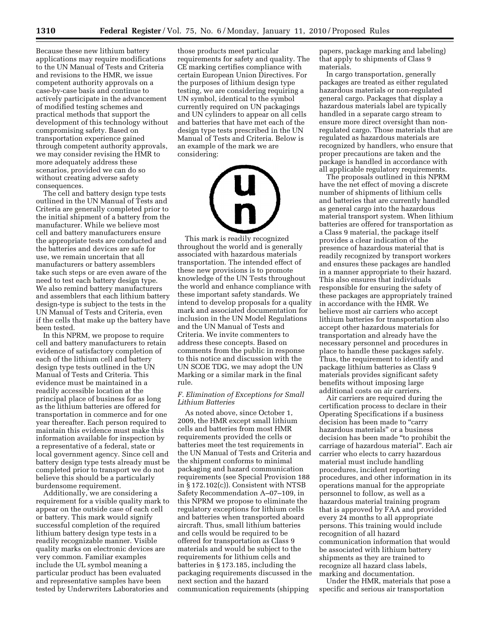Because these new lithium battery applications may require modifications to the UN Manual of Tests and Criteria and revisions to the HMR, we issue competent authority approvals on a case-by-case basis and continue to actively participate in the advancement of modified testing schemes and practical methods that support the development of this technology without compromising safety. Based on transportation experience gained through competent authority approvals, we may consider revising the HMR to more adequately address these scenarios, provided we can do so without creating adverse safety consequences.

The cell and battery design type tests outlined in the UN Manual of Tests and Criteria are generally completed prior to the initial shipment of a battery from the manufacturer. While we believe most cell and battery manufacturers ensure the appropriate tests are conducted and the batteries and devices are safe for use, we remain uncertain that all manufacturers or battery assemblers take such steps or are even aware of the need to test each battery design type. We also remind battery manufacturers and assemblers that each lithium battery design-type is subject to the tests in the UN Manual of Tests and Criteria, even if the cells that make up the battery have been tested.

In this NPRM, we propose to require cell and battery manufacturers to retain evidence of satisfactory completion of each of the lithium cell and battery design type tests outlined in the UN Manual of Tests and Criteria. This evidence must be maintained in a readily accessible location at the principal place of business for as long as the lithium batteries are offered for transportation in commerce and for one year thereafter. Each person required to maintain this evidence must make this information available for inspection by a representative of a federal, state or local government agency. Since cell and battery design type tests already must be completed prior to transport we do not believe this should be a particularly burdensome requirement.

Additionally, we are considering a requirement for a visible quality mark to appear on the outside case of each cell or battery. This mark would signify successful completion of the required lithium battery design type tests in a readily recognizable manner. Visible quality marks on electronic devices are very common. Familiar examples include the UL symbol meaning a particular product has been evaluated and representative samples have been tested by Underwriters Laboratories and

those products meet particular requirements for safety and quality. The CE marking certifies compliance with certain European Union Directives. For the purposes of lithium design type testing, we are considering requiring a UN symbol, identical to the symbol currently required on UN packagings and UN cylinders to appear on all cells and batteries that have met each of the design type tests prescribed in the UN Manual of Tests and Criteria. Below is an example of the mark we are considering:

This mark is readily recognized throughout the world and is generally associated with hazardous materials transportation. The intended effect of these new provisions is to promote knowledge of the UN Tests throughout the world and enhance compliance with these important safety standards. We intend to develop proposals for a quality mark and associated documentation for inclusion in the UN Model Regulations and the UN Manual of Tests and Criteria. We invite commenters to address these concepts. Based on comments from the public in response to this notice and discussion with the UN SCOE TDG, we may adopt the UN Marking or a similar mark in the final rule.

# *F. Elimination of Exceptions for Small Lithium Batteries*

As noted above, since October 1, 2009, the HMR except small lithium cells and batteries from most HMR requirements provided the cells or batteries meet the test requirements in the UN Manual of Tests and Criteria and the shipment conforms to minimal packaging and hazard communication requirements (see Special Provision 188 in § 172.102(c)). Consistent with NTSB Safety Recommendation A–07–109, in this NPRM we propose to eliminate the regulatory exceptions for lithium cells and batteries when transported aboard aircraft. Thus, small lithium batteries and cells would be required to be offered for transportation as Class 9 materials and would be subject to the requirements for lithium cells and batteries in § 173.185, including the packaging requirements discussed in the next section and the hazard communication requirements (shipping

papers, package marking and labeling) that apply to shipments of Class 9 materials.

In cargo transportation, generally packages are treated as either regulated hazardous materials or non-regulated general cargo. Packages that display a hazardous materials label are typically handled in a separate cargo stream to ensure more direct oversight than nonregulated cargo. Those materials that are regulated as hazardous materials are recognized by handlers, who ensure that proper precautions are taken and the package is handled in accordance with all applicable regulatory requirements.

The proposals outlined in this NPRM have the net effect of moving a discrete number of shipments of lithium cells and batteries that are currently handled as general cargo into the hazardous material transport system. When lithium batteries are offered for transportation as a Class 9 material, the package itself provides a clear indication of the presence of hazardous material that is readily recognized by transport workers and ensures these packages are handled in a manner appropriate to their hazard. This also ensures that individuals responsible for ensuring the safety of these packages are appropriately trained in accordance with the HMR. We believe most air carriers who accept lithium batteries for transportation also accept other hazardous materials for transportation and already have the necessary personnel and procedures in place to handle these packages safely. Thus, the requirement to identify and package lithium batteries as Class 9 materials provides significant safety benefits without imposing large additional costs on air carriers.

Air carriers are required during the certification process to declare in their Operating Specifications if a business decision has been made to "carry hazardous materials'' or a business decision has been made ''to prohibit the carriage of hazardous material''. Each air carrier who elects to carry hazardous material must include handling procedures, incident reporting procedures, and other information in its operations manual for the appropriate personnel to follow, as well as a hazardous material training program that is approved by FAA and provided every 24 months to all appropriate persons. This training would include recognition of all hazard communication information that would be associated with lithium battery shipments as they are trained to recognize all hazard class labels, marking and documentation.

Under the HMR, materials that pose a specific and serious air transportation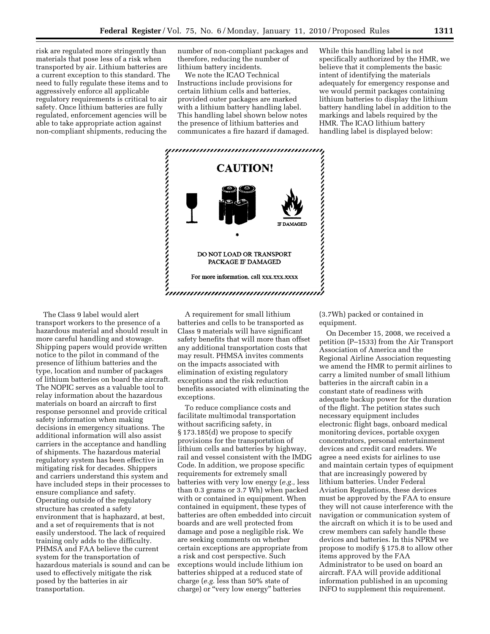risk are regulated more stringently than materials that pose less of a risk when transported by air. Lithium batteries are a current exception to this standard. The need to fully regulate these items and to aggressively enforce all applicable regulatory requirements is critical to air safety. Once lithium batteries are fully regulated, enforcement agencies will be able to take appropriate action against non-compliant shipments, reducing the

number of non-compliant packages and therefore, reducing the number of lithium battery incidents.

We note the ICAO Technical Instructions include provisions for certain lithium cells and batteries, provided outer packages are marked with a lithium battery handling label. This handling label shown below notes the presence of lithium batteries and communicates a fire hazard if damaged.

While this handling label is not specifically authorized by the HMR, we believe that it complements the basic intent of identifying the materials adequately for emergency response and we would permit packages containing lithium batteries to display the lithium battery handling label in addition to the markings and labels required by the HMR. The ICAO lithium battery handling label is displayed below:



The Class 9 label would alert transport workers to the presence of a hazardous material and should result in more careful handling and stowage. Shipping papers would provide written notice to the pilot in command of the presence of lithium batteries and the type, location and number of packages of lithium batteries on board the aircraft. The NOPIC serves as a valuable tool to relay information about the hazardous materials on board an aircraft to first response personnel and provide critical safety information when making decisions in emergency situations. The additional information will also assist carriers in the acceptance and handling of shipments. The hazardous material regulatory system has been effective in mitigating risk for decades. Shippers and carriers understand this system and have included steps in their processes to ensure compliance and safety. Operating outside of the regulatory structure has created a safety environment that is haphazard, at best, and a set of requirements that is not easily understood. The lack of required training only adds to the difficulty. PHMSA and FAA believe the current system for the transportation of hazardous materials is sound and can be used to effectively mitigate the risk posed by the batteries in air transportation.

A requirement for small lithium batteries and cells to be transported as Class 9 materials will have significant safety benefits that will more than offset any additional transportation costs that may result. PHMSA invites comments on the impacts associated with elimination of existing regulatory exceptions and the risk reduction benefits associated with eliminating the exceptions.

To reduce compliance costs and facilitate multimodal transportation without sacrificing safety, in § 173.185(d) we propose to specify provisions for the transportation of lithium cells and batteries by highway, rail and vessel consistent with the IMDG Code. In addition, we propose specific requirements for extremely small batteries with very low energy (*e.g.,* less than 0.3 grams or 3.7 Wh) when packed with or contained in equipment. When contained in equipment, these types of batteries are often embedded into circuit boards and are well protected from damage and pose a negligible risk. We are seeking comments on whether certain exceptions are appropriate from a risk and cost perspective. Such exceptions would include lithium ion batteries shipped at a reduced state of charge (*e.g.* less than 50% state of charge) or ''very low energy'' batteries

(3.7Wh) packed or contained in equipment.

On December 15, 2008, we received a petition (P–1533) from the Air Transport Association of America and the Regional Airline Association requesting we amend the HMR to permit airlines to carry a limited number of small lithium batteries in the aircraft cabin in a constant state of readiness with adequate backup power for the duration of the flight. The petition states such necessary equipment includes electronic flight bags, onboard medical monitoring devices, portable oxygen concentrators, personal entertainment devices and credit card readers. We agree a need exists for airlines to use and maintain certain types of equipment that are increasingly powered by lithium batteries. Under Federal Aviation Regulations, these devices must be approved by the FAA to ensure they will not cause interference with the navigation or communication system of the aircraft on which it is to be used and crew members can safely handle these devices and batteries. In this NPRM we propose to modify § 175.8 to allow other items approved by the FAA Administrator to be used on board an aircraft. FAA will provide additional information published in an upcoming INFO to supplement this requirement.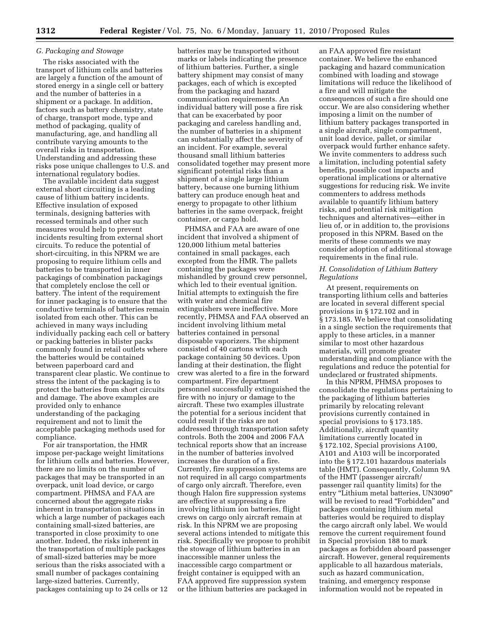# *G. Packaging and Stowage*

The risks associated with the transport of lithium cells and batteries are largely a function of the amount of stored energy in a single cell or battery and the number of batteries in a shipment or a package. In addition, factors such as battery chemistry, state of charge, transport mode, type and method of packaging, quality of manufacturing, age, and handling all contribute varying amounts to the overall risks in transportation. Understanding and addressing these risks pose unique challenges to U.S. and international regulatory bodies.

The available incident data suggest external short circuiting is a leading cause of lithium battery incidents. Effective insulation of exposed terminals, designing batteries with recessed terminals and other such measures would help to prevent incidents resulting from external short circuits. To reduce the potential of short-circuiting, in this NPRM we are proposing to require lithium cells and batteries to be transported in inner packagings of combination packagings that completely enclose the cell or battery. The intent of the requirement for inner packaging is to ensure that the conductive terminals of batteries remain isolated from each other. This can be achieved in many ways including individually packing each cell or battery or packing batteries in blister packs commonly found in retail outlets where the batteries would be contained between paperboard card and transparent clear plastic. We continue to stress the intent of the packaging is to protect the batteries from short circuits and damage. The above examples are provided only to enhance understanding of the packaging requirement and not to limit the acceptable packaging methods used for compliance.

For air transportation, the HMR impose per-package weight limitations for lithium cells and batteries. However, there are no limits on the number of packages that may be transported in an overpack, unit load device, or cargo compartment. PHMSA and FAA are concerned about the aggregate risks inherent in transportation situations in which a large number of packages each containing small-sized batteries, are transported in close proximity to one another. Indeed, the risks inherent in the transportation of multiple packages of small-sized batteries may be more serious than the risks associated with a small number of packages containing large-sized batteries. Currently, packages containing up to 24 cells or 12

batteries may be transported without marks or labels indicating the presence of lithium batteries. Further, a single battery shipment may consist of many packages, each of which is excepted from the packaging and hazard communication requirements. An individual battery will pose a fire risk that can be exacerbated by poor packaging and careless handling and, the number of batteries in a shipment can substantially affect the severity of an incident. For example, several thousand small lithium batteries consolidated together may present more significant potential risks than a shipment of a single large lithium battery, because one burning lithium battery can produce enough heat and energy to propagate to other lithium batteries in the same overpack, freight container, or cargo hold.

PHMSA and FAA are aware of one incident that involved a shipment of 120,000 lithium metal batteries contained in small packages, each excepted from the HMR. The pallets containing the packages were mishandled by ground crew personnel, which led to their eventual ignition. Initial attempts to extinguish the fire with water and chemical fire extinguishers were ineffective. More recently, PHMSA and FAA observed an incident involving lithium metal batteries contained in personal disposable vaporizers. The shipment consisted of 40 cartons with each package containing 50 devices. Upon landing at their destination, the flight crew was alerted to a fire in the forward compartment. Fire department personnel successfully extinguished the fire with no injury or damage to the aircraft. These two examples illustrate the potential for a serious incident that could result if the risks are not addressed through transportation safety controls. Both the 2004 and 2006 FAA technical reports show that an increase in the number of batteries involved increases the duration of a fire. Currently, fire suppression systems are not required in all cargo compartments of cargo only aircraft. Therefore, even though Halon fire suppression systems are effective at suppressing a fire involving lithium ion batteries, flight crews on cargo only aircraft remain at risk. In this NPRM we are proposing several actions intended to mitigate this risk. Specifically we propose to prohibit the stowage of lithium batteries in an inaccessible manner unless the inaccessible cargo compartment or freight container is equipped with an FAA approved fire suppression system or the lithium batteries are packaged in

an FAA approved fire resistant container. We believe the enhanced packaging and hazard communication combined with loading and stowage limitations will reduce the likelihood of a fire and will mitigate the consequences of such a fire should one occur. We are also considering whether imposing a limit on the number of lithium battery packages transported in a single aircraft, single compartment, unit load device, pallet, or similar overpack would further enhance safety. We invite commenters to address such a limitation, including potential safety benefits, possible cost impacts and operational implications or alternative suggestions for reducing risk. We invite commenters to address methods available to quantify lithium battery risks, and potential risk mitigation techniques and alternatives—either in lieu of, or in addition to, the provisions proposed in this NPRM. Based on the merits of these comments we may consider adoption of additional stowage requirements in the final rule.

# *H. Consolidation of Lithium Battery Regulations*

At present, requirements on transporting lithium cells and batteries are located in several different special provisions in § 172.102 and in § 173.185. We believe that consolidating in a single section the requirements that apply to these articles, in a manner similar to most other hazardous materials, will promote greater understanding and compliance with the regulations and reduce the potential for undeclared or frustrated shipments.

In this NPRM, PHMSA proposes to consolidate the regulations pertaining to the packaging of lithium batteries primarily by relocating relevant provisions currently contained in special provisions to § 173.185. Additionally, aircraft quantity limitations currently located in § 172.102, Special provisions A100, A101 and A103 will be incorporated into the § 172.101 hazardous materials table (HMT). Consequently, Column 9A of the HMT (passenger aircraft/ passenger rail quantity limits) for the entry "Lithium metal batteries, UN3090" will be revised to read "Forbidden" and packages containing lithium metal batteries would be required to display the cargo aircraft only label. We would remove the current requirement found in Special provision 188 to mark packages as forbidden aboard passenger aircraft. However, general requirements applicable to all hazardous materials, such as hazard communication, training, and emergency response information would not be repeated in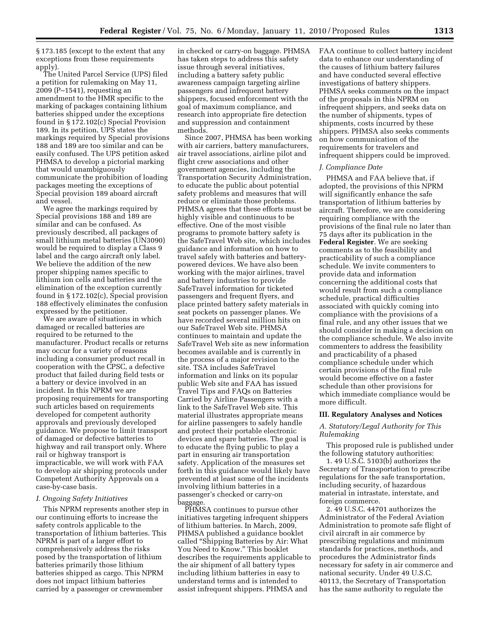§ 173.185 (except to the extent that any exceptions from these requirements apply).

The United Parcel Service (UPS) filed a petition for rulemaking on May 11, 2009 (P–1541), requesting an amendment to the HMR specific to the marking of packages containing lithium batteries shipped under the exceptions found in § 172.102(c) Special Provision 189. In its petition, UPS states the markings required by Special provisions 188 and 189 are too similar and can be easily confused. The UPS petition asked PHMSA to develop a pictorial marking that would unambiguously communicate the prohibition of loading packages meeting the exceptions of Special provision 189 aboard aircraft and vessel.

We agree the markings required by Special provisions 188 and 189 are similar and can be confused. As previously described, all packages of small lithium metal batteries (UN3090) would be required to display a Class 9 label and the cargo aircraft only label. We believe the addition of the new proper shipping names specific to lithium ion cells and batteries and the elimination of the exception currently found in § 172.102(c), Special provision 188 effectively eliminates the confusion expressed by the petitioner.

We are aware of situations in which damaged or recalled batteries are required to be returned to the manufacturer. Product recalls or returns may occur for a variety of reasons including a consumer product recall in cooperation with the CPSC, a defective product that failed during field tests or a battery or device involved in an incident. In this NPRM we are proposing requirements for transporting such articles based on requirements developed for competent authority approvals and previously developed guidance. We propose to limit transport of damaged or defective batteries to highway and rail transport only. Where rail or highway transport is impracticable, we will work with FAA to develop air shipping protocols under Competent Authority Approvals on a case-by-case basis.

### *I. Ongoing Safety Initiatives*

This NPRM represents another step in our continuing efforts to increase the safety controls applicable to the transportation of lithium batteries. This NPRM is part of a larger effort to comprehensively address the risks posed by the transportation of lithium batteries primarily those lithium batteries shipped as cargo. This NPRM does not impact lithium batteries carried by a passenger or crewmember

in checked or carry-on baggage. PHMSA has taken steps to address this safety issue through several initiatives, including a battery safety public awareness campaign targeting airline passengers and infrequent battery shippers, focused enforcement with the goal of maximum compliance, and research into appropriate fire detection and suppression and containment methods.

Since 2007, PHMSA has been working with air carriers, battery manufacturers, air travel associations, airline pilot and flight crew associations and other government agencies, including the Transportation Security Administration, to educate the public about potential safety problems and measures that will reduce or eliminate those problems. PHMSA agrees that these efforts must be highly visible and continuous to be effective. One of the most visible programs to promote battery safety is the SafeTravel Web site, which includes guidance and information on how to travel safely with batteries and batterypowered devices. We have also been working with the major airlines, travel and battery industries to provide SafeTravel information for ticketed passengers and frequent flyers, and place printed battery safety materials in seat pockets on passenger planes. We have recorded several million hits on our SafeTravel Web site. PHMSA continues to maintain and update the SafeTravel Web site as new information becomes available and is currently in the process of a major revision to the site. TSA includes SafeTravel information and links on its popular public Web site and FAA has issued Travel Tips and FAQs on Batteries Carried by Airline Passengers with a link to the SafeTravel Web site. This material illustrates appropriate means for airline passengers to safely handle and protect their portable electronic devices and spare batteries. The goal is to educate the flying public to play a part in ensuring air transportation safety. Application of the measures set forth in this guidance would likely have prevented at least some of the incidents involving lithium batteries in a passenger's checked or carry-on baggage.

PHMSA continues to pursue other initiatives targeting infrequent shippers of lithium batteries. In March, 2009, PHMSA published a guidance booklet called ''Shipping Batteries by Air: What You Need to Know.'' This booklet describes the requirements applicable to the air shipment of all battery types including lithium batteries in easy to understand terms and is intended to assist infrequent shippers. PHMSA and

FAA continue to collect battery incident data to enhance our understanding of the causes of lithium battery failures and have conducted several effective investigations of battery shippers. PHMSA seeks comments on the impact of the proposals in this NPRM on infrequent shippers, and seeks data on the number of shipments, types of shipments, costs incurred by these shippers. PHMSA also seeks comments on how communication of the requirements for travelers and infrequent shippers could be improved.

### *J. Compliance Date*

PHMSA and FAA believe that, if adopted, the provisions of this NPRM will significantly enhance the safe transportation of lithium batteries by aircraft. Therefore, we are considering requiring compliance with the provisions of the final rule no later than 75 days after its publication in the **Federal Register**. We are seeking comments as to the feasibility and practicability of such a compliance schedule. We invite commenters to provide data and information concerning the additional costs that would result from such a compliance schedule, practical difficulties associated with quickly coming into compliance with the provisions of a final rule, and any other issues that we should consider in making a decision on the compliance schedule. We also invite commenters to address the feasibility and practicability of a phased compliance schedule under which certain provisions of the final rule would become effective on a faster schedule than other provisions for which immediate compliance would be more difficult.

### **III. Regulatory Analyses and Notices**

# *A. Statutory/Legal Authority for This Rulemaking*

This proposed rule is published under the following statutory authorities:

1. 49 U.S.C. 5103(b) authorizes the Secretary of Transportation to prescribe regulations for the safe transportation, including security, of hazardous material in intrastate, interstate, and foreign commerce.

2. 49 U.S.C. 44701 authorizes the Administrator of the Federal Aviation Administration to promote safe flight of civil aircraft in air commerce by prescribing regulations and minimum standards for practices, methods, and procedures the Administrator finds necessary for safety in air commerce and national security. Under 49 U.S.C. 40113, the Secretary of Transportation has the same authority to regulate the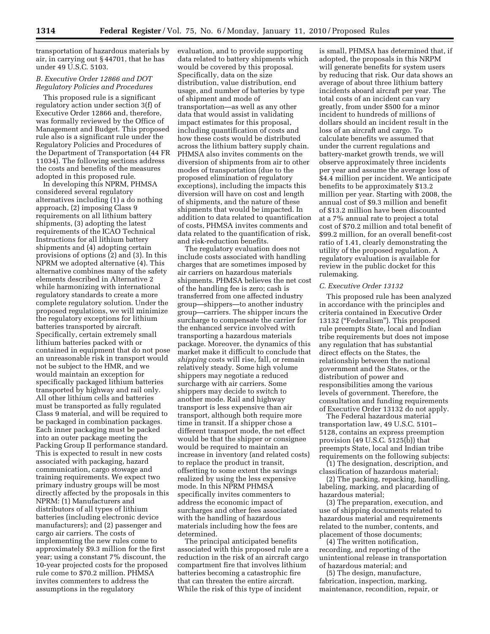transportation of hazardous materials by air, in carrying out § 44701, that he has under 49 U.S.C. 5103.

# *B. Executive Order 12866 and DOT Regulatory Policies and Procedures*

This proposed rule is a significant regulatory action under section 3(f) of Executive Order 12866 and, therefore, was formally reviewed by the Office of Management and Budget. This proposed rule also is a significant rule under the Regulatory Policies and Procedures of the Department of Transportation (44 FR 11034). The following sections address the costs and benefits of the measures adopted in this proposed rule.

In developing this NPRM, PHMSA considered several regulatory alternatives including (1) a do nothing approach, (2) imposing Class 9 requirements on all lithium battery shipments, (3) adopting the latest requirements of the ICAO Technical Instructions for all lithium battery shipments and (4) adopting certain provisions of options (2) and (3). In this NPRM we adopted alternative (4). This alternative combines many of the safety elements described in Alternative 2 while harmonizing with international regulatory standards to create a more complete regulatory solution. Under the proposed regulations, we will minimize the regulatory exceptions for lithium batteries transported by aircraft. Specifically, certain extremely small lithium batteries packed with or contained in equipment that do not pose an unreasonable risk in transport would not be subject to the HMR, and we would maintain an exception for specifically packaged lithium batteries transported by highway and rail only. All other lithium cells and batteries must be transported as fully regulated Class 9 material, and will be required to be packaged in combination packages. Each inner packaging must be packed into an outer package meeting the Packing Group II performance standard. This is expected to result in new costs associated with packaging, hazard communication, cargo stowage and training requirements. We expect two primary industry groups will be most directly affected by the proposals in this NPRM: (1) Manufacturers and distributors of all types of lithium batteries (including electronic device manufacturers); and (2) passenger and cargo air carriers. The costs of implementing the new rules come to approximately \$9.3 million for the first year; using a constant 7% discount, the 10-year projected costs for the proposed rule come to \$70.2 million. PHMSA invites commenters to address the assumptions in the regulatory

evaluation, and to provide supporting data related to battery shipments which would be covered by this proposal. Specifically, data on the size distribution, value distribution, end usage, and number of batteries by type of shipment and mode of transportation—as well as any other data that would assist in validating impact estimates for this proposal, including quantification of costs and how these costs would be distributed across the lithium battery supply chain. PHMSA also invites comments on the diversion of shipments from air to other modes of transportation (due to the proposed elimination of regulatory exceptions), including the impacts this diversion will have on cost and length of shipments, and the nature of these shipments that would be impacted. In addition to data related to quantification of costs, PHMSA invites comments and data related to the quantification of risk, and risk-reduction benefits.

The regulatory evaluation does not include costs associated with handling charges that are sometimes imposed by air carriers on hazardous materials shipments. PHMSA believes the net cost of the handling fee is zero; cash is transferred from one affected industry group—shippers—to another industry group—carriers. The shipper incurs the surcharge to compensate the carrier for the enhanced service involved with transporting a hazardous materials package. Moreover, the dynamics of this market make it difficult to conclude that *shipping* costs will rise, fall, or remain relatively steady. Some high volume shippers may negotiate a reduced surcharge with air carriers. Some shippers may decide to switch to another mode. Rail and highway transport is less expensive than air transport, although both require more time in transit. If a shipper chose a different transport mode, the net effect would be that the shipper or consignee would be required to maintain an increase in inventory (and related costs) to replace the product in transit, offsetting to some extent the savings realized by using the less expensive mode. In this NPRM PHMSA specifically invites commenters to address the economic impact of surcharges and other fees associated with the handling of hazardous materials including how the fees are determined.

The principal anticipated benefits associated with this proposed rule are a reduction in the risk of an aircraft cargo compartment fire that involves lithium batteries becoming a catastrophic fire that can threaten the entire aircraft. While the risk of this type of incident

is small, PHMSA has determined that, if adopted, the proposals in this NRPM will generate benefits for system users by reducing that risk. Our data shows an average of about three lithium battery incidents aboard aircraft per year. The total costs of an incident can vary greatly, from under \$500 for a minor incident to hundreds of millions of dollars should an incident result in the loss of an aircraft and cargo. To calculate benefits we assumed that under the current regulations and battery-market growth trends, we will observe approximately three incidents per year and assume the average loss of \$4.4 million per incident. We anticipate benefits to be approximately \$13.2 million per year. Starting with 2008, the annual cost of \$9.3 million and benefit of \$13.2 million have been discounted at a 7% annual rate to project a total cost of \$70.2 million and total benefit of \$99.2 million, for an overall benefit-cost ratio of 1.41, clearly demonstrating the utility of the proposed regulation. A regulatory evaluation is available for review in the public docket for this rulemaking.

#### *C. Executive Order 13132*

This proposed rule has been analyzed in accordance with the principles and criteria contained in Executive Order 13132 (''Federalism''). This proposed rule preempts State, local and Indian tribe requirements but does not impose any regulation that has substantial direct effects on the States, the relationship between the national government and the States, or the distribution of power and responsibilities among the various levels of government. Therefore, the consultation and funding requirements of Executive Order 13132 do not apply.

The Federal hazardous material transportation law, 49 U.S.C. 5101– 5128, contains an express preemption provision (49 U.S.C. 5125(b)) that preempts State, local and Indian tribe requirements on the following subjects:

(1) The designation, description, and classification of hazardous material;

(2) The packing, repacking, handling, labeling, marking, and placarding of hazardous material;

(3) The preparation, execution, and use of shipping documents related to hazardous material and requirements related to the number, contents, and placement of those documents;

(4) The written notification, recording, and reporting of the unintentional release in transportation of hazardous material; and

(5) The design, manufacture, fabrication, inspection, marking, maintenance, recondition, repair, or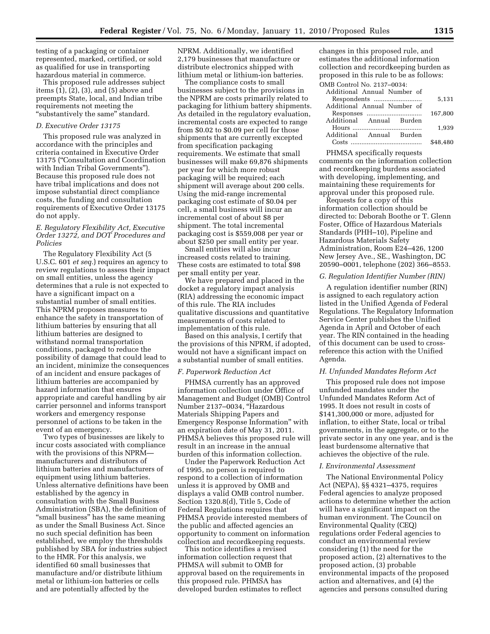testing of a packaging or container represented, marked, certified, or sold as qualified for use in transporting hazardous material in commerce.

This proposed rule addresses subject items (1), (2), (3), and (5) above and preempts State, local, and Indian tribe requirements not meeting the ''substantively the same'' standard.

# *D. Executive Order 13175*

This proposed rule was analyzed in accordance with the principles and criteria contained in Executive Order 13175 (''Consultation and Coordination with Indian Tribal Governments''). Because this proposed rule does not have tribal implications and does not impose substantial direct compliance costs, the funding and consultation requirements of Executive Order 13175 do not apply.

## *E. Regulatory Flexibility Act, Executive Order 13272, and DOT Procedures and Policies*

The Regulatory Flexibility Act (5 U.S.C. 601 *et seq.*) requires an agency to review regulations to assess their impact on small entities, unless the agency determines that a rule is not expected to have a significant impact on a substantial number of small entities. This NPRM proposes measures to enhance the safety in transportation of lithium batteries by ensuring that all lithium batteries are designed to withstand normal transportation conditions, packaged to reduce the possibility of damage that could lead to an incident, minimize the consequences of an incident and ensure packages of lithium batteries are accompanied by hazard information that ensures appropriate and careful handling by air carrier personnel and informs transport workers and emergency response personnel of actions to be taken in the event of an emergency.

Two types of businesses are likely to incur costs associated with compliance with the provisions of this NPRM manufacturers and distributors of lithium batteries and manufacturers of equipment using lithium batteries. Unless alternative definitions have been established by the agency in consultation with the Small Business Administration (SBA), the definition of ''small business'' has the same meaning as under the Small Business Act. Since no such special definition has been established, we employ the thresholds published by SBA for industries subject to the HMR. For this analysis, we identified 60 small businesses that manufacture and/or distribute lithium metal or lithium-ion batteries or cells and are potentially affected by the

NPRM. Additionally, we identified 2,179 businesses that manufacture or distribute electronics shipped with lithium metal or lithium-ion batteries.

The compliance costs to small businesses subject to the provisions in the NPRM are costs primarily related to packaging for lithium battery shipments. As detailed in the regulatory evaluation, incremental costs are expected to range from \$0.02 to \$0.09 per cell for those shipments that are currently excepted from specification packaging requirements. We estimate that small businesses will make 69,876 shipments per year for which more robust packaging will be required; each shipment will average about 200 cells. Using the mid-range incremental packaging cost estimate of \$0.04 per cell, a small business will incur an incremental cost of about \$8 per shipment. The total incremental packaging cost is \$559,008 per year or about \$250 per small entity per year.

Small entities will also incur increased costs related to training. These costs are estimated to total \$98 per small entity per year.

We have prepared and placed in the docket a regulatory impact analysis (RIA) addressing the economic impact of this rule. The RIA includes qualitative discussions and quantitative measurements of costs related to implementation of this rule.

Based on this analysis, I certify that the provisions of this NPRM, if adopted, would not have a significant impact on a substantial number of small entities.

#### *F. Paperwork Reduction Act*

PHMSA currently has an approved information collection under Office of Management and Budget (OMB) Control Number 2137–0034, ''Hazardous Materials Shipping Papers and Emergency Response Information'' with an expiration date of May 31, 2011. PHMSA believes this proposed rule will result in an increase in the annual burden of this information collection.

Under the Paperwork Reduction Act of 1995, no person is required to respond to a collection of information unless it is approved by OMB and displays a valid OMB control number. Section 1320.8(d), Title 5, Code of Federal Regulations requires that PHMSA provide interested members of the public and affected agencies an opportunity to comment on information collection and recordkeeping requests.

This notice identifies a revised information collection request that PHMSA will submit to OMB for approval based on the requirements in this proposed rule. PHMSA has developed burden estimates to reflect

changes in this proposed rule, and estimates the additional information collection and recordkeeping burden as proposed in this rule to be as follows: OMB Control No. 2137–0034:

| 5.131    |
|----------|
|          |
| 167.800  |
|          |
| 1.939    |
|          |
| \$48,480 |
|          |

PHMSA specifically requests comments on the information collection and recordkeeping burdens associated with developing, implementing, and maintaining these requirements for approval under this proposed rule.

Requests for a copy of this information collection should be directed to: Deborah Boothe or T. Glenn Foster, Office of Hazardous Materials Standards (PHH–10), Pipeline and Hazardous Materials Safety Administration, Room E24–426, 1200 New Jersey Ave., SE., Washington, DC 20590–0001, telephone (202) 366–8553.

# *G. Regulation Identifier Number (RIN)*

A regulation identifier number (RIN) is assigned to each regulatory action listed in the Unified Agenda of Federal Regulations. The Regulatory Information Service Center publishes the Unified Agenda in April and October of each year. The RIN contained in the heading of this document can be used to crossreference this action with the Unified Agenda.

### *H. Unfunded Mandates Reform Act*

This proposed rule does not impose unfunded mandates under the Unfunded Mandates Reform Act of 1995. It does not result in costs of \$141,300,000 or more, adjusted for inflation, to either State, local or tribal governments, in the aggregate, or to the private sector in any one year, and is the least burdensome alternative that achieves the objective of the rule.

### *I. Environmental Assessment*

The National Environmental Policy Act (NEPA), §§ 4321–4375, requires Federal agencies to analyze proposed actions to determine whether the action will have a significant impact on the human environment. The Council on Environmental Quality (CEQ) regulations order Federal agencies to conduct an environmental review considering (1) the need for the proposed action, (2) alternatives to the proposed action, (3) probable environmental impacts of the proposed action and alternatives, and (4) the agencies and persons consulted during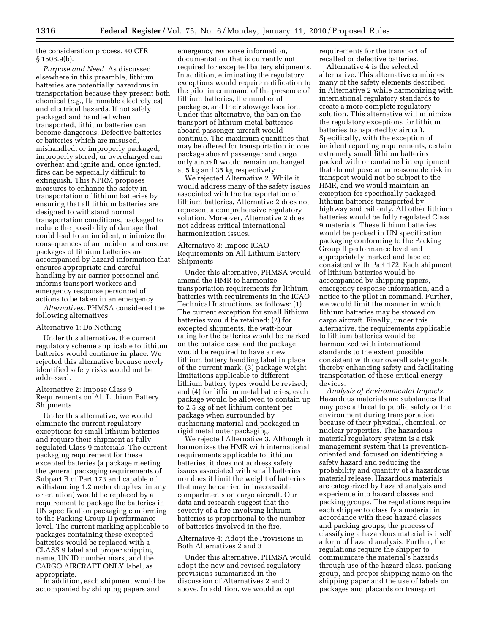the consideration process. 40 CFR  $§ 1508.9(b).$ 

*Purpose and Need.* As discussed elsewhere in this preamble, lithium batteries are potentially hazardous in transportation because they present both chemical (*e.g.,* flammable electrolytes) and electrical hazards. If not safely packaged and handled when transported, lithium batteries can become dangerous. Defective batteries or batteries which are misused, mishandled, or improperly packaged, improperly stored, or overcharged can overheat and ignite and, once ignited, fires can be especially difficult to extinguish. This NPRM proposes measures to enhance the safety in transportation of lithium batteries by ensuring that all lithium batteries are designed to withstand normal transportation conditions, packaged to reduce the possibility of damage that could lead to an incident, minimize the consequences of an incident and ensure packages of lithium batteries are accompanied by hazard information that ensures appropriate and careful handling by air carrier personnel and informs transport workers and emergency response personnel of actions to be taken in an emergency.

*Alternatives.* PHMSA considered the following alternatives:

### Alternative 1: Do Nothing

Under this alternative, the current regulatory scheme applicable to lithium batteries would continue in place. We rejected this alternative because newly identified safety risks would not be addressed.

Alternative 2: Impose Class 9 Requirements on All Lithium Battery Shipments

Under this alternative, we would eliminate the current regulatory exceptions for small lithium batteries and require their shipment as fully regulated Class 9 materials. The current packaging requirement for these excepted batteries (a package meeting the general packaging requirements of Subpart B of Part 173 and capable of withstanding 1.2 meter drop test in any orientation) would be replaced by a requirement to package the batteries in UN specification packaging conforming to the Packing Group II performance level. The current marking applicable to packages containing these excepted batteries would be replaced with a CLASS 9 label and proper shipping name, UN ID number mark, and the CARGO AIRCRAFT ONLY label, as

In addition, each shipment would be. accompanied by shipping papers and

emergency response information, documentation that is currently not required for excepted battery shipments. In addition, eliminating the regulatory exceptions would require notification to the pilot in command of the presence of lithium batteries, the number of packages, and their stowage location. Under this alternative, the ban on the transport of lithium metal batteries aboard passenger aircraft would continue. The maximum quantities that may be offered for transportation in one package aboard passenger and cargo only aircraft would remain unchanged at 5 kg and 35 kg respectively.

We rejected Alternative 2. While it would address many of the safety issues associated with the transportation of lithium batteries, Alternative 2 does not represent a comprehensive regulatory solution. Moreover, Alternative 2 does not address critical international harmonization issues.

# Alternative 3: Impose ICAO Requirements on All Lithium Battery Shipments

Under this alternative, PHMSA would amend the HMR to harmonize transportation requirements for lithium batteries with requirements in the ICAO Technical Instructions, as follows: (1) The current exception for small lithium batteries would be retained; (2) for excepted shipments, the watt-hour rating for the batteries would be marked on the outside case and the package would be required to have a new lithium battery handling label in place of the current mark; (3) package weight limitations applicable to different lithium battery types would be revised; and (4) for lithium metal batteries, each package would be allowed to contain up to 2.5 kg of net lithium content per package when surrounded by cushioning material and packaged in rigid metal outer packaging.

We rejected Alternative 3. Although it harmonizes the HMR with international requirements applicable to lithium batteries, it does not address safety issues associated with small batteries nor does it limit the weight of batteries that may be carried in inaccessible compartments on cargo aircraft. Our data and research suggest that the severity of a fire involving lithium batteries is proportional to the number of batteries involved in the fire.

Alternative 4: Adopt the Provisions in Both Alternatives 2 and 3

Under this alternative, PHMSA would adopt the new and revised regulatory provisions summarized in the discussion of Alternatives 2 and 3 above. In addition, we would adopt

requirements for the transport of recalled or defective batteries.

Alternative 4 is the selected alternative. This alternative combines many of the safety elements described in Alternative 2 while harmonizing with international regulatory standards to create a more complete regulatory solution. This alternative will minimize the regulatory exceptions for lithium batteries transported by aircraft. Specifically, with the exception of incident reporting requirements, certain extremely small lithium batteries packed with or contained in equipment that do not pose an unreasonable risk in transport would not be subject to the HMR, and we would maintain an exception for specifically packaged lithium batteries transported by highway and rail only. All other lithium batteries would be fully regulated Class 9 materials. These lithium batteries would be packed in UN specification packaging conforming to the Packing Group II performance level and appropriately marked and labeled consistent with Part 172. Each shipment of lithium batteries would be accompanied by shipping papers, emergency response information, and a notice to the pilot in command. Further, we would limit the manner in which lithium batteries may be stowed on cargo aircraft. Finally, under this alternative, the requirements applicable to lithium batteries would be harmonized with international standards to the extent possible consistent with our overall safety goals, thereby enhancing safety and facilitating transportation of these critical energy devices.

*Analysis of Environmental Impacts.*  Hazardous materials are substances that may pose a threat to public safety or the environment during transportation because of their physical, chemical, or nuclear properties. The hazardous material regulatory system is a risk management system that is preventionoriented and focused on identifying a safety hazard and reducing the probability and quantity of a hazardous material release. Hazardous materials are categorized by hazard analysis and experience into hazard classes and packing groups. The regulations require each shipper to classify a material in accordance with these hazard classes and packing groups; the process of classifying a hazardous material is itself a form of hazard analysis. Further, the regulations require the shipper to communicate the material's hazards through use of the hazard class, packing group, and proper shipping name on the shipping paper and the use of labels on packages and placards on transport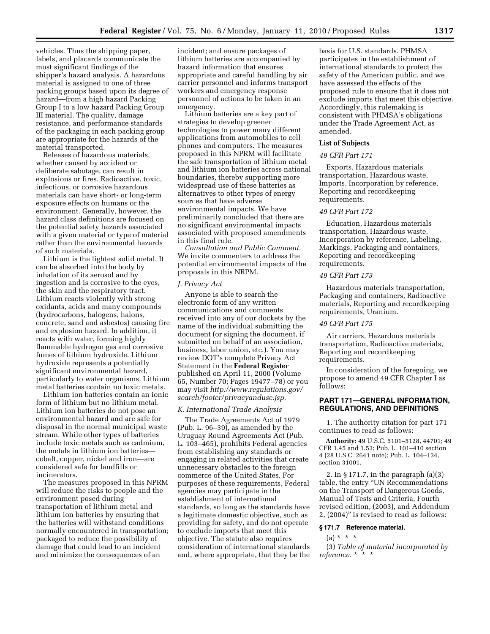vehicles. Thus the shipping paper, labels, and placards communicate the most significant findings of the shipper's hazard analysis. A hazardous material is assigned to one of three packing groups based upon its degree of hazard—from a high hazard Packing Group I to a low hazard Packing Group III material. The quality, damage resistance, and performance standards of the packaging in each packing group are appropriate for the hazards of the material transported.

Releases of hazardous materials, whether caused by accident or deliberate sabotage, can result in explosions or fires. Radioactive, toxic, infectious, or corrosive hazardous materials can have short- or long-term exposure effects on humans or the environment. Generally, however, the hazard class definitions are focused on the potential safety hazards associated with a given material or type of material rather than the environmental hazards of such materials.

Lithium is the lightest solid metal. It can be absorbed into the body by inhalation of its aerosol and by ingestion and is corrosive to the eyes, the skin and the respiratory tract. Lithium reacts violently with strong oxidants, acids and many compounds (hydrocarbons, halogens, halons, concrete, sand and asbestos) causing fire and explosion hazard. In addition, it reacts with water, forming highly flammable hydrogen gas and corrosive fumes of lithium hydroxide. Lithium hydroxide represents a potentially significant environmental hazard, particularly to water organisms. Lithium metal batteries contain no toxic metals.

Lithium ion batteries contain an ionic form of lithium but no lithium metal. Lithium ion batteries do not pose an environmental hazard and are safe for disposal in the normal municipal waste stream. While other types of batteries include toxic metals such as cadmium, the metals in lithium ion batteries cobalt, copper, nickel and iron—are considered safe for landfills or incinerators.

The measures proposed in this NPRM will reduce the risks to people and the environment posed during transportation of lithium metal and lithium ion batteries by ensuring that the batteries will withstand conditions normally encountered in transportation; packaged to reduce the possibility of damage that could lead to an incident and minimize the consequences of an

incident; and ensure packages of lithium batteries are accompanied by hazard information that ensures appropriate and careful handling by air carrier personnel and informs transport workers and emergency response personnel of actions to be taken in an emergency.

Lithium batteries are a key part of strategies to develop greener technologies to power many different applications from automobiles to cell phones and computers. The measures proposed in this NPRM will facilitate the safe transportation of lithium metal and lithium ion batteries across national boundaries, thereby supporting more widespread use of these batteries as alternatives to other types of energy sources that have adverse environmental impacts. We have preliminarily concluded that there are no significant environmental impacts associated with proposed amendments in this final rule.

*Consultation and Public Comment.*  We invite commenters to address the potential environmental impacts of the proposals in this NRPM.

### *J. Privacy Act*

Anyone is able to search the electronic form of any written communications and comments received into any of our dockets by the name of the individual submitting the document (or signing the document, if submitted on behalf of an association, business, labor union, etc.). You may review DOT's complete Privacy Act Statement in the **Federal Register**  published on April 11, 2000 (Volume 65, Number 70; Pages 19477–78) or you may visit *http://www.regulations.gov/ search/footer/privacyanduse.jsp.* 

### *K. International Trade Analysis*

The Trade Agreements Act of 1979 (Pub. L. 96–39), as amended by the Uruguay Round Agreements Act (Pub. L. 103–465), prohibits Federal agencies from establishing any standards or engaging in related activities that create unnecessary obstacles to the foreign commerce of the United States. For purposes of these requirements, Federal agencies may participate in the establishment of international standards, so long as the standards have a legitimate domestic objective, such as providing for safety, and do not operate to exclude imports that meet this objective. The statute also requires consideration of international standards and, where appropriate, that they be the

basis for U.S. standards. PHMSA participates in the establishment of international standards to protect the safety of the American public, and we have assessed the effects of the proposed rule to ensure that it does not exclude imports that meet this objective. Accordingly, this rulemaking is consistent with PHMSA's obligations under the Trade Agreement Act, as amended.

#### **List of Subjects**

#### *49 CFR Part 171*

Exports, Hazardous materials transportation, Hazardous waste, Imports, Incorporation by reference, Reporting and recordkeeping requirements.

# *49 CFR Part 172*

Education, Hazardous materials transportation, Hazardous waste, Incorporation by reference, Labeling, Markings, Packaging and containers, Reporting and recordkeeping requirements.

#### *49 CFR Part 173*

Hazardous materials transportation, Packaging and containers, Radioactive materials, Reporting and recordkeeping requirements, Uranium.

# *49 CFR Part 175*

Air carriers, Hazardous materials transportation, Radioactive materials, Reporting and recordkeeping requirements.

In consideration of the foregoing, we propose to amend 49 CFR Chapter I as follows:

# **PART 171—GENERAL INFORMATION, REGULATIONS, AND DEFINITIONS**

1. The authority citation for part 171 continues to read as follows:

**Authority:** 49 U.S.C. 5101–5128, 44701; 49 CFR 1.45 and 1.53; Pub. L. 101–410 section 4 (28 U.S.C. 2641 note); Pub. L. 104–134, section 31001.

2. In § 171.7, in the paragraph (a)(3) table, the entry ''UN Recommendations on the Transport of Dangerous Goods, Manual of Tests and Criteria, Fourth revised edition, (2003), and Addendum 2, (2004)'' is revised to read as follows:

### **§ 171.7 Reference material.**

# $(a) * * * *$

(3) *Table of material incorporated by reference.* \* \* \*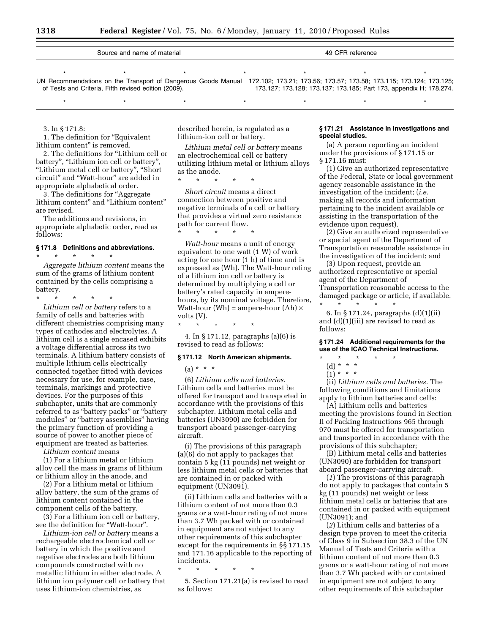| Source and name of material<br>49 CFR reference |                                                      |                                                                                                                                   |  |  |                                                                    |  |
|-------------------------------------------------|------------------------------------------------------|-----------------------------------------------------------------------------------------------------------------------------------|--|--|--------------------------------------------------------------------|--|
|                                                 |                                                      |                                                                                                                                   |  |  |                                                                    |  |
|                                                 |                                                      |                                                                                                                                   |  |  |                                                                    |  |
|                                                 |                                                      |                                                                                                                                   |  |  |                                                                    |  |
|                                                 |                                                      | UN Recommendations on the Transport of Dangerous Goods Manual 172.102; 173.21; 173.56; 173.57; 173.58; 173.115; 173.124; 173.125; |  |  |                                                                    |  |
|                                                 | of Tests and Criteria, Fifth revised edition (2009). |                                                                                                                                   |  |  | 173.127; 173.128; 173.137; 173.185; Part 173, appendix H; 178.274. |  |

\* \* \* \* \* \* \* \* \* \* \* \* \* \* \*

3. In § 171.8:

1. The definition for ''Equivalent lithium content'' is removed.

2. The definitions for ''Lithium cell or battery", "Lithium ion cell or battery", ''Lithium metal cell or battery'', ''Short circuit'' and ''Watt-hour'' are added in appropriate alphabetical order.

3. The definitions for ''Aggregate lithium content" and "Lithium content" are revised.

The additions and revisions, in appropriate alphabetic order, read as follows:

### **§ 171.8 Definitions and abbreviations.**

\* \* \* \* \*

*Aggregate lithium content* means the sum of the grams of lithium content contained by the cells comprising a battery.

\* \* \* \* \*

*Lithium cell or battery* refers to a family of cells and batteries with different chemistries comprising many types of cathodes and electrolytes. A lithium cell is a single encased exhibits a voltage differential across its two terminals. A lithium battery consists of multiple lithium cells electrically connected together fitted with devices necessary for use, for example, case, terminals, markings and protective devices. For the purposes of this subchapter, units that are commonly referred to as ''battery packs'' or ''battery modules'' or ''battery assemblies'' having the primary function of providing a source of power to another piece of equipment are treated as batteries.

*Lithium content* means

(1) For a lithium metal or lithium alloy cell the mass in grams of lithium or lithium alloy in the anode, and

(2) For a lithium metal or lithium alloy battery, the sum of the grams of lithium content contained in the component cells of the battery.

(3) For a lithium ion cell or battery, see the definition for ''Watt-hour''.

*Lithium-ion cell or battery* means a rechargeable electrochemical cell or battery in which the positive and negative electrodes are both lithium compounds constructed with no metallic lithium in either electrode. A lithium ion polymer cell or battery that uses lithium-ion chemistries, as

described herein, is regulated as a lithium-ion cell or battery.

*Lithium metal cell or battery* means an electrochemical cell or battery utilizing lithium metal or lithium alloys as the anode.

\* \* \* \* \*

\* \* \* \* \*

\* \* \* \* \*

*Short circuit* means a direct connection between positive and negative terminals of a cell or battery that provides a virtual zero resistance path for current flow.

*Watt-hour* means a unit of energy equivalent to one watt (1 W) of work acting for one hour (1 h) of time and is expressed as (Wh). The Watt-hour rating of a lithium ion cell or battery is determined by multiplying a cell or battery's rated capacity in amperehours, by its nominal voltage. Therefore, Watt-hour (Wh) = ampere-hour (Ah)  $\times$ volts (V).

4. In § 171.12, paragraphs (a)(6) is revised to read as follows:

#### **§ 171.12 North American shipments.**

 $(a) * * * *$ 

(6) *Lithium cells and batteries.*  Lithium cells and batteries must be offered for transport and transported in accordance with the provisions of this subchapter. Lithium metal cells and batteries (UN3090) are forbidden for transport aboard passenger-carrying aircraft.

(i) The provisions of this paragraph (a)(6) do not apply to packages that contain 5 kg (11 pounds) net weight or less lithium metal cells or batteries that are contained in or packed with equipment (UN3091).

(ii) Lithium cells and batteries with a lithium content of not more than 0.3 grams or a watt-hour rating of not more than 3.7 Wh packed with or contained in equipment are not subject to any other requirements of this subchapter except for the requirements in §§ 171.15 and 171.16 applicable to the reporting of incidents.

\* \* \* \* \*

5. Section 171.21(a) is revised to read as follows:

### **§ 171.21 Assistance in investigations and special studies.**

(a) A person reporting an incident under the provisions of § 171.15 or § 171.16 must:

(1) Give an authorized representative of the Federal, State or local government agency reasonable assistance in the investigation of the incident; (*i.e.*  making all records and information pertaining to the incident available or assisting in the transportation of the evidence upon request).

(2) Give an authorized representative or special agent of the Department of Transportation reasonable assistance in the investigation of the incident; and

(3) Upon request, provide an authorized representative or special agent of the Department of Transportation reasonable access to the damaged package or article, if available. \* \* \* \* \*

6. In § 171.24, paragraphs (d)(1)(ii) and (d)(1)(iii) are revised to read as follows:

**§ 171.24 Additional requirements for the use of the ICAO Technical Instructions.** 

- $\star$   $\star$   $\star$
- (d) \* \* \*  $(1)^{\star}$  \* \*

(ii) *Lithium cells and batteries.* The following conditions and limitations apply to lithium batteries and cells:

(A) Lithium cells and batteries meeting the provisions found in Section II of Packing Instructions 965 through 970 must be offered for transportation and transported in accordance with the provisions of this subchapter;

(B) Lithium metal cells and batteries (UN3090) are forbidden for transport aboard passenger-carrying aircraft.

(*1*) The provisions of this paragraph do not apply to packages that contain 5 kg (11 pounds) net weight or less lithium metal cells or batteries that are contained in or packed with equipment (UN3091); and

(*2*) Lithium cells and batteries of a design type proven to meet the criteria of Class 9 in Subsection 38.3 of the UN Manual of Tests and Criteria with a lithium content of not more than 0.3 grams or a watt-hour rating of not more than 3.7 Wh packed with or contained in equipment are not subject to any other requirements of this subchapter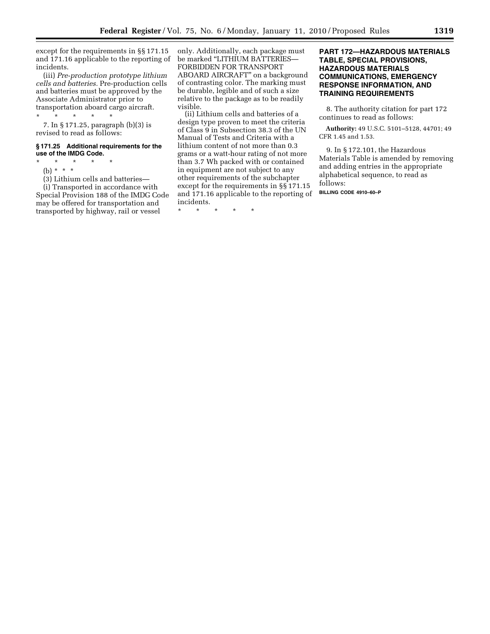except for the requirements in §§ 171.15 and 171.16 applicable to the reporting of incidents.

(iii) *Pre-production prototype lithium cells and batteries.* Pre-production cells and batteries must be approved by the Associate Administrator prior to transportation aboard cargo aircraft.

# \* \* \* \* \*

7. In § 171.25, paragraph (b)(3) is revised to read as follows:

# **§ 171.25 Additional requirements for the use of the IMDG Code.**

- \* \* \* \* \*
	- (b) \* \* \*

(3) Lithium cells and batteries—

(i) Transported in accordance with Special Provision 188 of the IMDG Code may be offered for transportation and transported by highway, rail or vessel

only. Additionally, each package must be marked ''LITHIUM BATTERIES— FORBIDDEN FOR TRANSPORT ABOARD AIRCRAFT'' on a background of contrasting color. The marking must be durable, legible and of such a size relative to the package as to be readily visible.

(ii) Lithium cells and batteries of a design type proven to meet the criteria of Class 9 in Subsection 38.3 of the UN Manual of Tests and Criteria with a lithium content of not more than 0.3 grams or a watt-hour rating of not more than 3.7 Wh packed with or contained in equipment are not subject to any other requirements of the subchapter except for the requirements in §§ 171.15 and 171.16 applicable to the reporting of incidents.

\* \* \* \* \*

# **PART 172—HAZARDOUS MATERIALS TABLE, SPECIAL PROVISIONS, HAZARDOUS MATERIALS COMMUNICATIONS, EMERGENCY RESPONSE INFORMATION, AND TRAINING REQUIREMENTS**

8. The authority citation for part 172 continues to read as follows:

**Authority:** 49 U.S.C. 5101–5128, 44701; 49 CFR 1.45 and 1.53.

9. In § 172.101, the Hazardous Materials Table is amended by removing and adding entries in the appropriate alphabetical sequence, to read as follows:

**BILLING CODE 4910–60–P**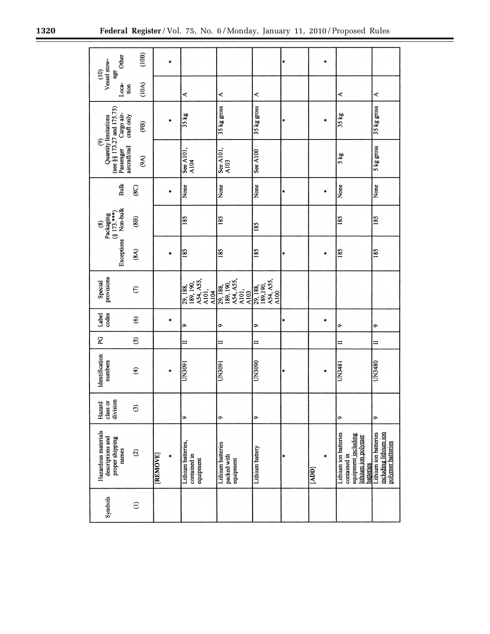▀

| Other<br>Vessel stow-<br>$\widehat{=}$<br>age                                                                        | (10B)                  |          |           |                                                     |                                                      |                                           | ₩             | ÷          |                                                                                                         |                                                                     |
|----------------------------------------------------------------------------------------------------------------------|------------------------|----------|-----------|-----------------------------------------------------|------------------------------------------------------|-------------------------------------------|---------------|------------|---------------------------------------------------------------------------------------------------------|---------------------------------------------------------------------|
| Loca-<br>tion                                                                                                        | (10A)                  |          |           | ≺                                                   | ≺                                                    | ⋖                                         |               |            | ≺                                                                                                       | ⋖                                                                   |
| Cargo air-<br>craft only                                                                                             | (9B)                   |          | $\bullet$ | 35 kg                                               | 35 kg gross                                          | 35 kg gross                               | ×             | ۰          | 35 kg                                                                                                   | 35 kg gross                                                         |
| (see §§ 173.27 and 175.75)<br>Quantity limitations<br>$\widehat{\mathfrak{G}}$<br>aircraft/rail<br>Passenger<br>(9A) |                        |          |           | See A101,<br>A104                                   | See A101,<br>A103                                    | $\frac{\text{Set A100}}{\text{Set A100}}$ |               |            | 5 kg                                                                                                    | 5 kg gross                                                          |
| Bulk                                                                                                                 | $\circledS$            |          | ×         | None                                                | None                                                 | None                                      | Ħ             | ×          | None                                                                                                    | None                                                                |
| Non-bulk<br>Packaging<br>(§ 173.***)<br>$\circledast$                                                                | (8B)                   |          |           | 185                                                 | 185                                                  | 185                                       |               |            | 185                                                                                                     | 185                                                                 |
| Exceptions                                                                                                           | (8A)                   |          | ٠         | 185                                                 | 185                                                  | 185                                       | ×             | ×          | 185                                                                                                     | 185                                                                 |
| provisions<br>Special                                                                                                | $\epsilon$             |          |           | A54, A55,<br>A101,<br>189, 190,<br>29, 188,<br>A104 | A54, A55,<br>A101,<br>A103<br>189, 190,<br>29, 188,  | A54, A55,<br>29, 188, 189, 190,<br>A100   |               |            |                                                                                                         |                                                                     |
| Label<br>codes                                                                                                       | $\widehat{\mathbf{e}}$ |          | $\bullet$ | ۰                                                   | ò                                                    | ٩                                         | $\frac{1}{2}$ | ×          | õ                                                                                                       | ç                                                                   |
| P.                                                                                                                   | $\odot$                |          |           | $\equiv$                                            | $\equiv$                                             | $\equiv$                                  |               |            | ≔                                                                                                       | $\equiv$                                                            |
| Identification<br>numbers                                                                                            | $\widehat{\mathbf{t}}$ |          | $\bullet$ | UN3091                                              | UN3091                                               | <b>UN3090</b>                             | ×             | ×          | UN3481                                                                                                  | UN3480                                                              |
| division<br>class or<br>Hazard                                                                                       | ල                      |          |           | $\sigma$                                            | ó                                                    | ó                                         |               |            | o                                                                                                       | $\sigma$                                                            |
| Hazardous materials<br>descriptions and<br>proper shipping<br>names                                                  | $\mathfrak{D}$         | [REMOVE] |           | Lithium batteries,<br>contained in<br>equipment     | <b>Lithium</b> batteries<br>packed with<br>equipment | Lithium battery                           | ×             | ×<br>[ADD] | Lithium ion batteries<br>equipment including<br>lithium ion polymer<br>contained in<br><b>batteries</b> | including lithium ion<br>Lithium ion batteries<br>polymer batteries |
| Symbols                                                                                                              | $\in$                  |          |           |                                                     |                                                      |                                           |               |            |                                                                                                         |                                                                     |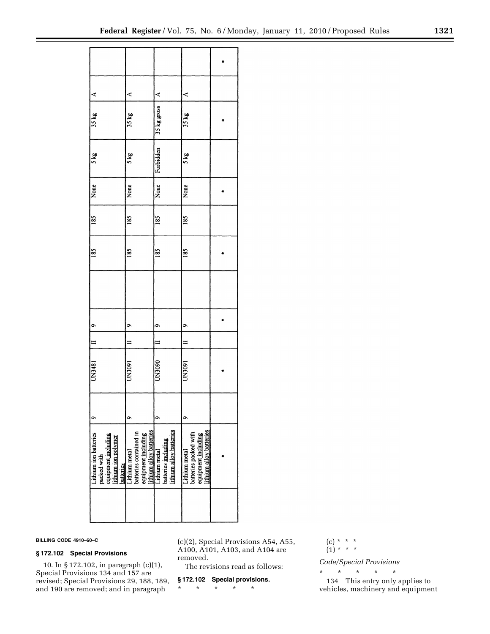| ≺                                                                                                      | ⋖                                       | ≺                                                                                                                                     | ⋖                                                                                              |  |
|--------------------------------------------------------------------------------------------------------|-----------------------------------------|---------------------------------------------------------------------------------------------------------------------------------------|------------------------------------------------------------------------------------------------|--|
| 35 kg                                                                                                  | 35 kg                                   | 35 kg gross                                                                                                                           | 35 kg                                                                                          |  |
| 5 kg                                                                                                   | 5 kg                                    | Forbidden                                                                                                                             | 5 kg                                                                                           |  |
| None                                                                                                   | None                                    | None                                                                                                                                  | None                                                                                           |  |
| 185                                                                                                    | 185                                     | 185                                                                                                                                   | 185                                                                                            |  |
| 185                                                                                                    | 185                                     | 185                                                                                                                                   | 185                                                                                            |  |
|                                                                                                        |                                         |                                                                                                                                       |                                                                                                |  |
|                                                                                                        | o                                       | o                                                                                                                                     | σ                                                                                              |  |
| $\begin{array}{ c c c c }\n\hline\n\text{II} & \text{I} & \text{9}\n\end{array}$                       |                                         |                                                                                                                                       |                                                                                                |  |
| UN3481                                                                                                 | UN3091                                  | UN3090                                                                                                                                | UN3091                                                                                         |  |
| $\bullet$                                                                                              | σ                                       | o                                                                                                                                     | σ                                                                                              |  |
| Lithium ion batteries<br>packed with<br>equipment <u>including</u><br>lithium ion polymer<br>batteries | Lithium metal<br>batteries contained in | equipment <u>including</u><br><u>lithium alloy batteries</u><br>Lithium metal<br>batteries <u>including</u><br>ithium alloy batteries | batteries packed with<br>equipment <u>including</u><br>lithium alloy batteries<br>ithium metal |  |
|                                                                                                        |                                         |                                                                                                                                       |                                                                                                |  |

**BILLING CODE 4910–60–C** 

# **§ 172.102 Special Provisions**

10. In § 172.102, in paragraph (c)(1), Special Provisions 134 and 157 are revised; Special Provisions 29, 188, 189, and 190 are removed; and in paragraph

(c)(2), Special Provisions A54, A55, A100, A101, A103, and A104 are removed.

The revisions read as follows:

# **§ 172.102 Special provisions.**

\* \* \* \* \*

(c) \* \* \* (1) \* \* \*

*Code/Special Provisions* 

\* \* \* \* \* 134 This entry only applies to vehicles, machinery and equipment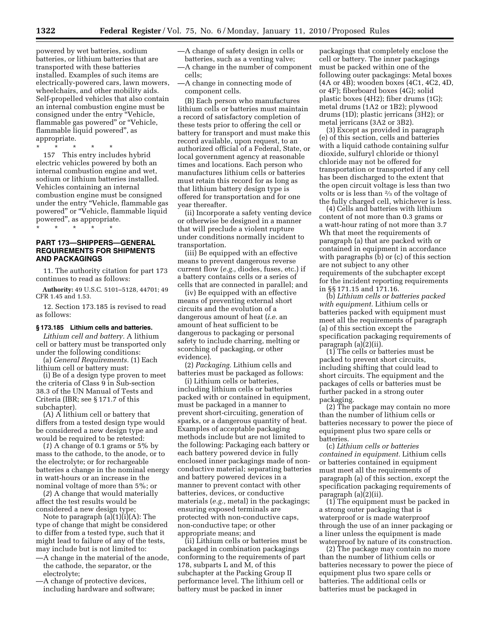powered by wet batteries, sodium batteries, or lithium batteries that are transported with these batteries installed. Examples of such items are electrically-powered cars, lawn mowers, wheelchairs, and other mobility aids. Self-propelled vehicles that also contain an internal combustion engine must be consigned under the entry ''Vehicle, flammable gas powered" or "Vehicle, flammable liquid powered'', as appropriate.

\* \* \* \* \* 157 This entry includes hybrid electric vehicles powered by both an internal combustion engine and wet, sodium or lithium batteries installed. Vehicles containing an internal combustion engine must be consigned under the entry ''Vehicle, flammable gas powered" or "Vehicle, flammable liquid powered'', as appropriate.

\* \* \* \* \*

# **PART 173—SHIPPERS—GENERAL REQUIREMENTS FOR SHIPMENTS AND PACKAGINGS**

11. The authority citation for part 173 continues to read as follows:

**Authority:** 49 U.S.C. 5101–5128, 44701; 49 CFR 1.45 and 1.53.

12. Section 173.185 is revised to read as follows:

### **§ 173.185 Lithium cells and batteries.**

*Lithium cell and battery.* A lithium cell or battery must be transported only under the following conditions:

(a) *General Requirements.* (1) Each lithium cell or battery must:

(i) Be of a design type proven to meet the criteria of Class 9 in Sub-section 38.3 of the UN Manual of Tests and Criteria (IBR; see § 171.7 of this subchapter).

(A) A lithium cell or battery that differs from a tested design type would be considered a new design type and would be required to be retested:

(*1*) A change of 0.1 grams or 5% by mass to the cathode, to the anode, or to the electrolyte; or for rechargeable batteries a change in the nominal energy in watt-hours or an increase in the nominal voltage of more than 5%; or

(*2*) A change that would materially affect the test results would be considered a new design type;

Note to paragraph (a)(1)(i)(A): The type of change that might be considered to differ from a tested type, such that it might lead to failure of any of the tests, may include but is not limited to:

- —A change in the material of the anode, the cathode, the separator, or the electrolyte;
- —A change of protective devices, including hardware and software;
- —A change of safety design in cells or batteries, such as a venting valve; —A change in the number of component
- cells; —A change in connecting mode of
- component cells.

(B) Each person who manufactures lithium cells or batteries must maintain a record of satisfactory completion of these tests prior to offering the cell or battery for transport and must make this record available, upon request, to an authorized official of a Federal, State, or local government agency at reasonable times and locations. Each person who manufactures lithium cells or batteries must retain this record for as long as that lithium battery design type is offered for transportation and for one year thereafter.

(ii) Incorporate a safety venting device or otherwise be designed in a manner that will preclude a violent rupture under conditions normally incident to transportation.

(iii) Be equipped with an effective means to prevent dangerous reverse current flow (*e.g.,* diodes, fuses, etc.) if a battery contains cells or a series of cells that are connected in parallel; and

(iv) Be equipped with an effective means of preventing external short circuits and the evolution of a dangerous amount of heat (*i.e.* an amount of heat sufficient to be dangerous to packaging or personal safety to include charring, melting or scorching of packaging, or other evidence).

(2) *Packaging.* Lithium cells and batteries must be packaged as follows:

(i) Lithium cells or batteries, including lithium cells or batteries packed with or contained in equipment, must be packaged in a manner to prevent short-circuiting, generation of sparks, or a dangerous quantity of heat. Examples of acceptable packaging methods include but are not limited to the following: Packaging each battery or each battery powered device in fully enclosed inner packagings made of nonconductive material; separating batteries and battery powered devices in a manner to prevent contact with other batteries, devices, or conductive materials (*e.g.,* metal) in the packagings; ensuring exposed terminals are protected with non-conductive caps, non-conductive tape; or other appropriate means; and

(ii) Lithium cells or batteries must be packaged in combination packagings conforming to the requirements of part 178, subparts L and M, of this subchapter at the Packing Group II performance level. The lithium cell or battery must be packed in inner

packagings that completely enclose the cell or battery. The inner packagings must be packed within one of the following outer packagings: Metal boxes (4A or 4B); wooden boxes (4C1, 4C2, 4D, or 4F); fiberboard boxes (4G); solid plastic boxes (4H2); fiber drums (1G); metal drums (1A2 or 1B2); plywood drums (1D); plastic jerricans (3H2); or metal jerricans (3A2 or 3B2).

(3) Except as provided in paragraph (e) of this section, cells and batteries with a liquid cathode containing sulfur dioxide, sulfuryl chloride or thionyl chloride may not be offered for transportation or transported if any cell has been discharged to the extent that the open circuit voltage is less than two volts or is less than 2⁄3 of the voltage of the fully charged cell, whichever is less.

(4) Cells and batteries with lithium content of not more than 0.3 grams or a watt-hour rating of not more than 3.7 Wh that meet the requirements of paragraph (a) that are packed with or contained in equipment in accordance with paragraphs (b) or (c) of this section are not subject to any other requirements of the subchapter except for the incident reporting requirements in §§ 171.15 and 171.16.

(b) *Lithium cells or batteries packed with equipment.* Lithium cells or batteries packed with equipment must meet all the requirements of paragraph (a) of this section except the specification packaging requirements of paragraph (a)(2)(ii).

(1) The cells or batteries must be packed to prevent short circuits, including shifting that could lead to short circuits. The equipment and the packages of cells or batteries must be further packed in a strong outer packaging.

(2) The package may contain no more than the number of lithium cells or batteries necessary to power the piece of equipment plus two spare cells or batteries.

(c) *Lithium cells or batteries contained in equipment.* Lithium cells or batteries contained in equipment must meet all the requirements of paragraph (a) of this section, except the specification packaging requirements of paragraph (a)(2)(ii).

(1) The equipment must be packed in a strong outer packaging that is waterproof or is made waterproof through the use of an inner packaging or a liner unless the equipment is made waterproof by nature of its construction.

(2) The package may contain no more than the number of lithium cells or batteries necessary to power the piece of equipment plus two spare cells or batteries. The additional cells or batteries must be packaged in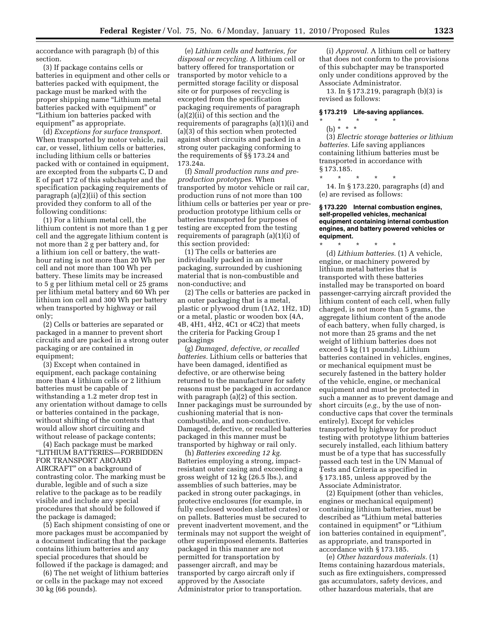accordance with paragraph (b) of this section.

(3) If package contains cells or batteries in equipment and other cells or batteries packed with equipment, the package must be marked with the proper shipping name ''Lithium metal batteries packed with equipment'' or ''Lithium ion batteries packed with equipment'' as appropriate.

(d) *Exceptions for surface transport.*  When transported by motor vehicle, rail car, or vessel, lithium cells or batteries, including lithium cells or batteries packed with or contained in equipment, are excepted from the subparts C, D and E of part 172 of this subchapter and the specification packaging requirements of paragraph (a)(2)(ii) of this section provided they conform to all of the following conditions:

(1) For a lithium metal cell, the lithium content is not more than 1 g per cell and the aggregate lithium content is not more than 2 g per battery and, for a lithium ion cell or battery, the watthour rating is not more than 20 Wh per cell and not more than 100 Wh per battery. These limits may be increased to 5 g per lithium metal cell or 25 grams per lithium metal battery and 60 Wh per lithium ion cell and 300 Wh per battery when transported by highway or rail only;

(2) Cells or batteries are separated or packaged in a manner to prevent short circuits and are packed in a strong outer packaging or are contained in equipment;

(3) Except when contained in equipment, each package containing more than 4 lithium cells or 2 lithium batteries must be capable of withstanding a 1.2 meter drop test in any orientation without damage to cells or batteries contained in the package, without shifting of the contents that would allow short circuiting and without release of package contents;

(4) Each package must be marked ''LITHIUM BATTERIES—FORBIDDEN FOR TRANSPORT ABOARD AIRCRAFT'' on a background of contrasting color. The marking must be durable, legible and of such a size relative to the package as to be readily visible and include any special procedures that should be followed if the package is damaged;

(5) Each shipment consisting of one or more packages must be accompanied by a document indicating that the package contains lithium batteries and any special procedures that should be followed if the package is damaged; and

(6) The net weight of lithium batteries or cells in the package may not exceed 30 kg (66 pounds).

(e) *Lithium cells and batteries, for disposal or recycling.* A lithium cell or battery offered for transportation or transported by motor vehicle to a permitted storage facility or disposal site or for purposes of recycling is excepted from the specification packaging requirements of paragraph (a)(2)(ii) of this section and the requirements of paragraphs (a)(1)(i) and (a)(3) of this section when protected against short circuits and packed in a strong outer packaging conforming to the requirements of §§ 173.24 and 173.24a.

(f) *Small production runs and preproduction prototypes.* When transported by motor vehicle or rail car, production runs of not more than 100 lithium cells or batteries per year or preproduction prototype lithium cells or batteries transported for purposes of testing are excepted from the testing requirements of paragraph (a)(1)(i) of this section provided:

(1) The cells or batteries are individually packed in an inner packaging, surrounded by cushioning material that is non-combustible and non-conductive; and

(2) The cells or batteries are packed in an outer packaging that is a metal, plastic or plywood drum (1A2, 1H2, 1D) or a metal, plastic or wooden box (4A, 4B, 4H1, 4H2, 4C1 or 4C2) that meets the criteria for Packing Group I packagings

(g) *Damaged, defective, or recalled batteries.* Lithium cells or batteries that have been damaged, identified as defective, or are otherwise being returned to the manufacturer for safety reasons must be packaged in accordance with paragraph (a)(2) of this section. Inner packagings must be surrounded by cushioning material that is noncombustible, and non-conductive. Damaged, defective, or recalled batteries packaged in this manner must be transported by highway or rail only.

(h) *Batteries exceeding 12 kg.*  Batteries employing a strong, impactresistant outer casing and exceeding a gross weight of 12 kg (26.5 lbs.), and assemblies of such batteries, may be packed in strong outer packagings, in protective enclosures (for example, in fully enclosed wooden slatted crates) or on pallets. Batteries must be secured to prevent inadvertent movement, and the terminals may not support the weight of other superimposed elements. Batteries packaged in this manner are not permitted for transportation by passenger aircraft, and may be transported by cargo aircraft only if approved by the Associate Administrator prior to transportation.

(i) *Approval.* A lithium cell or battery that does not conform to the provisions of this subchapter may be transported only under conditions approved by the Associate Administrator.

13. In § 173.219, paragraph (b)(3) is revised as follows:

### **§ 173.219 Life-saving appliances.**

## \* \* \* \* \* (b) \* \* \*

(3) *Electric storage batteries or lithium batteries.* Life saving appliances containing lithium batteries must be transported in accordance with § 173.185.

\* \* \* \* \* 14. In § 173.220, paragraphs (d) and (e) are revised as follows:

### **§ 173.220 Internal combustion engines, self-propelled vehicles, mechanical equipment containing internal combustion engines, and battery powered vehicles or equipment.**

\* \* \* \* \* (d) *Lithium batteries.* (1) A vehicle, engine, or machinery powered by lithium metal batteries that is transported with these batteries installed may be transported on board passenger-carrying aircraft provided the lithium content of each cell, when fully charged, is not more than 5 grams, the aggregate lithium content of the anode of each battery, when fully charged, is not more than 25 grams and the net weight of lithium batteries does not exceed 5 kg (11 pounds). Lithium batteries contained in vehicles, engines, or mechanical equipment must be securely fastened in the battery holder of the vehicle, engine, or mechanical equipment and must be protected in such a manner as to prevent damage and short circuits (*e.g.,* by the use of nonconductive caps that cover the terminals entirely). Except for vehicles transported by highway for product testing with prototype lithium batteries securely installed, each lithium battery must be of a type that has successfully passed each test in the UN Manual of Tests and Criteria as specified in § 173.185, unless approved by the Associate Administrator.

(2) Equipment (other than vehicles, engines or mechanical equipment) containing lithium batteries, must be described as ''Lithium metal batteries contained in equipment'' or ''Lithium ion batteries contained in equipment'', as appropriate, and transported in accordance with § 173.185.

(e) *Other hazardous materials.* (1) Items containing hazardous materials, such as fire extinguishers, compressed gas accumulators, safety devices, and other hazardous materials, that are